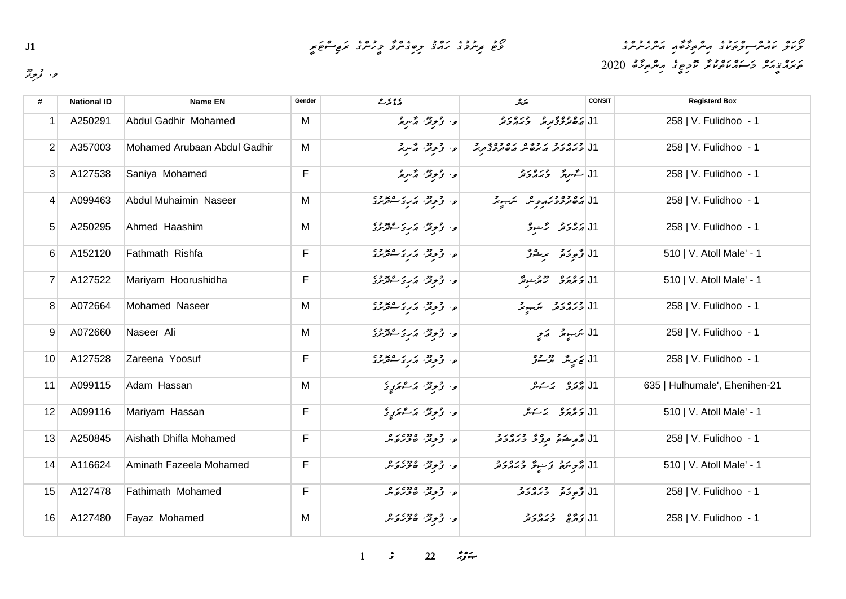*sCw7q7s5w7m< o<n9nOoAw7o< sCq;mAwBoEw7q<m; wBm;vB* م من المسجد المسجد المسجد المسجد المسجد العام 2020<br>مسجد المسجد المسجد المسجد المسجد المسجد المسجد المسجد المسجد ال

| #                | <b>National ID</b> | Name EN                      | Gender      | بروبره                                                      | سرپر                                             | <b>CONSIT</b> | <b>Registerd Box</b>          |
|------------------|--------------------|------------------------------|-------------|-------------------------------------------------------------|--------------------------------------------------|---------------|-------------------------------|
|                  | A250291            | Abdul Gadhir Mohamed         | M           | د کوچن کرسرنگ                                               | U کەھەمرىرى مەدەر دەرد                           |               | 258   V. Fulidhoo - 1         |
| $\overline{2}$   | A357003            | Mohamed Arubaan Abdul Gadhir | M           | أوا وكوفرا أرسرير                                           | 11 وبره بر و بر و بره بره وه بر بر و             |               | 258   V. Fulidhoo - 1         |
| 3                | A127538            | Saniya Mohamed               | $\mathsf F$ | د · د څوند او کرسرچر                                        | J1 گەس <i>ۋرە دو</i> ر                           |               | 258   V. Fulidhoo - 1         |
| 4                | A099463            | Abdul Muhaimin Naseer        | M           | ه . و و ده از کار کار د د و د                               | 11 <i>مەھىر دۇ جىم</i> رىرىش مى <i>ز بىرى</i> گە |               | 258   V. Fulidhoo - 1         |
| 5                | A250295            | Ahmed Haashim                | M           | ه ۱۶ وګونځه ترکری کشود دی.<br>او ۱۶ وګونځه ترکری کشود کردی. | J1 <i>مَدْوَنْ گَ</i> ىمْوْ                      |               | 258   V. Fulidhoo - 1         |
| 6                | A152120            | Fathmath Rishfa              | F           | د کی توفر از مرکز مستقر مرکز                                | J1 <i>وَّج</i> وحَۃُ مِشْتَرَ                    |               | 510   V. Atoll Male' - 1      |
| $\overline{7}$   | A127522            | Mariyam Hoorushidha          | $\mathsf F$ | ه . و وفرس از مرد ۱۶۶۵ و د                                  | J1 <i>5 برور و میں ش</i> وٹر                     |               | 510   V. Atoll Male' - 1      |
| 8                | A072664            | Mohamed Naseer               | M           | ه . و وفر مرکب معروم                                        | J1 <i>دېنم</i> ونه س <i>ن</i> ېږم                |               | 258   V. Fulidhoo - 1         |
| $\boldsymbol{9}$ | A072660            | Naseer Ali                   | M           | ه . و وقر مرکز معدد ،                                       | 1ل  <i>مترسومڈ م</i> ترم ٍ                       |               | 258   V. Fulidhoo - 1         |
| 10               | A127528            | Zareena Yoosuf               | F           | ه ۱۶ وګونژ کم د کاموری د ده په ده د                         | J1 ئىمبەنگە تەر <u>جى</u> مبى                    |               | 258   V. Fulidhoo - 1         |
| 11               | A099115            | Adam Hassan                  | M           | ه . وڅونش تر شمېرونه                                        | J1 پژنر <i>ی بزخ</i> ش                           |               | 635   Hulhumale', Ehenihen-21 |
| 12               | A099116            | Mariyam Hassan               | F           | ه· وُمُحِصٌ مَرَ مُسْمَوَى                                  | J1 ئ <i>ەيدە برىتى</i> ر                         |               | 510   V. Atoll Male' - 1      |
| 13               | A250845            | Aishath Dhifla Mohamed       | F           | ه د ود ۱۵۶۵ وروس                                            | 1ل مەم شەم بىرى <i>دىنەدى</i> ر                  |               | 258   V. Fulidhoo - 1         |
| 14               | A116624            | Aminath Fazeela Mohamed      | F           | ه د ود ۱۵۶۵ وروس                                            | 11 مُ <i>جِسَعْ وَسِعَ وَبَرْهُ وَقُ</i>         |               | 510   V. Atoll Male' - 1      |
| 15               | A127478            | Fathimath Mohamed            | F           | ه د ود ۱۵۶۵ وروس                                            | 11 <i>وُجِودَه وبرورد</i>                        |               | 258   V. Fulidhoo - 1         |
| 16               | A127480            | Fayaz Mohamed                | M           | ه و در ۱۵۶۵ وروس<br>د و در موروس                            | 1ل <i>ۆپژە دېمبرو</i> ر                          |               | 258   V. Fulidhoo - 1         |

 $1$  *s* 22  $29$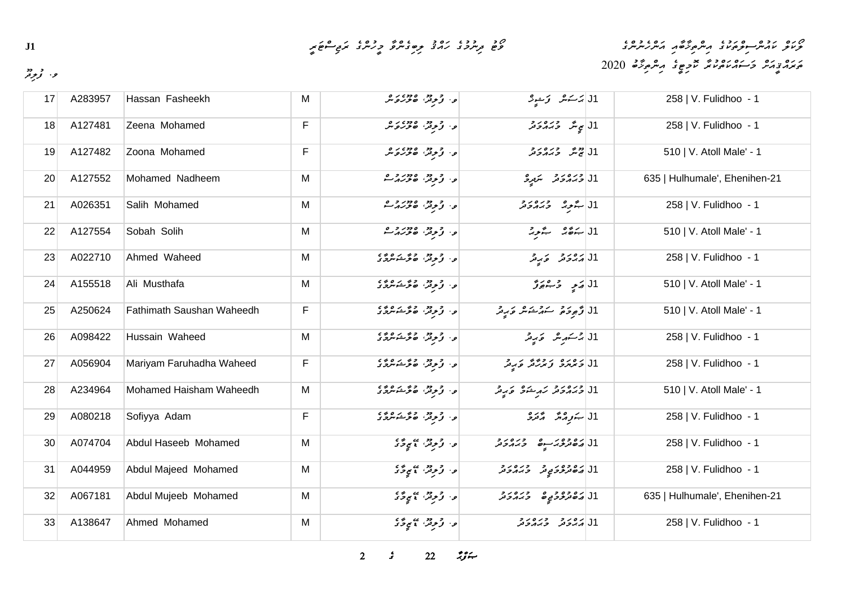*sCw7q7s5w7m< o<n9nOoAw7o< sCq;mAwBoEw7q<m; wBm;vB* م من المرة المرة المرة المرجع المرجع في المركبة 2020<br>مجم*د المريض المربوط المربع المرجع في المراجع المركبة* 

| 17 | A283957 | Hassan Fasheekh           | M            | ه د ود وده ده در پا               | J1 ټر <i>ندنگر تی شی</i> ژ              | 258   V. Fulidhoo - 1         |
|----|---------|---------------------------|--------------|-----------------------------------|-----------------------------------------|-------------------------------|
| 18 | A127481 | Zeena Mohamed             | F            | ه وتوفر، معززه بر                 | J1 <sub>م</sub> ېنگر ت <i>ېگەدە</i> تر  | 258   V. Fulidhoo - 1         |
| 19 | A127482 | Zoona Mohamed             | F            | ه د ور دوره ده د                  | J1 تيمگر <i>حيده د</i> ور               | 510   V. Atoll Male' - 1      |
| 20 | A127552 | Mohamed Nadheem           | M            | ه و ده محمد ده و                  | J1 <i>وبروبر و</i> س <i>ربر</i> و       | 635   Hulhumale', Ehenihen-21 |
| 21 | A026351 | Salih Mohamed             | M            | ه د وده مورده و                   | J1 يۇمەر ئە <i>مەدەر</i>                | 258   V. Fulidhoo - 1         |
| 22 | A127554 | Sobah Solih               | M            | ه د وده مورده و                   | J1 ينھ <sup>و</sup> بڻوبر               | 510   V. Atoll Male' - 1      |
| 23 | A022710 | Ahmed Waheed              | M            | ه . و وفران و ما ده و د           | J1 <i>مَدْدَوْرْ وَبِ</i> مْر           | 258   V. Fulidhoo - 1         |
| 24 | A155518 | Ali Musthafa              | M            | ە بۇ دەر ھۇشەھەر                  | 1ل <i>ھَي دُمبورٌ</i>                   | 510   V. Atoll Male' - 1      |
| 25 | A250624 | Fathimath Saushan Waheedh | $\mathsf{F}$ | ە بۇ دەر ھۇشەھەر                  | 11 <i>وڻجو خوش مشهر وَبيد</i>           | 510   V. Atoll Male' - 1      |
| 26 | A098422 | Hussain Waheed            | M            | ه . و وو. ه و شهره و د و          | J1 بر <i>کے مربٹر کا بر</i> یٹر         | 258   V. Fulidhoo - 1         |
| 27 | A056904 | Mariyam Faruhadha Waheed  | $\mathsf F$  | ە بۇ دەر ھۇشەھەر                  | 11  <i>خەمگە ۋىرىڭگە ئ</i> ەيدىگە       | 258   V. Fulidhoo - 1         |
| 28 | A234964 | Mohamed Haisham Waheedh   | M            | ە بۇ دەر ھۇشەھەر                  | 11 ديرورو رم شرق ځېږمتر                 | 510   V. Atoll Male' - 1      |
| 29 | A080218 | Sofiyya Adam              | $\mathsf F$  | و. وُمُحِمَّرٌ، ھُمُوَڪْمُبْرَوَى | J1 بەرەپۇ مەمر <i>ە</i>                 | 258   V. Fulidhoo - 1         |
| 30 | A074704 | Abdul Haseeb Mohamed      | M            | ه . و وقرا ، ، ، و ،              | 11 رەدورىي دىرەرد                       | 258   V. Fulidhoo - 1         |
| 31 | A044959 | Abdul Majeed Mohamed      | M            | د کو توټر کام څخه ک               | 11 رەپەرى بەر ئەرەر ئ                   | 258   V. Fulidhoo - 1         |
| 32 | A067181 | Abdul Mujeeb Mohamed      | M            | ه . و وحق الأمومي                 | 11 رەپوروپە مەربىر<br>11 مەمرىرىي مەمەم | 635   Hulhumale', Ehenihen-21 |
| 33 | A138647 | Ahmed Mohamed             | M            | و٠ وګونژ، ٤ پاڅو                  | 1ل پرورو وره دو                         | 258   V. Fulidhoo - 1         |

 $2$  *s*  $22$  *z*  $2\frac{2}{3}$  *i*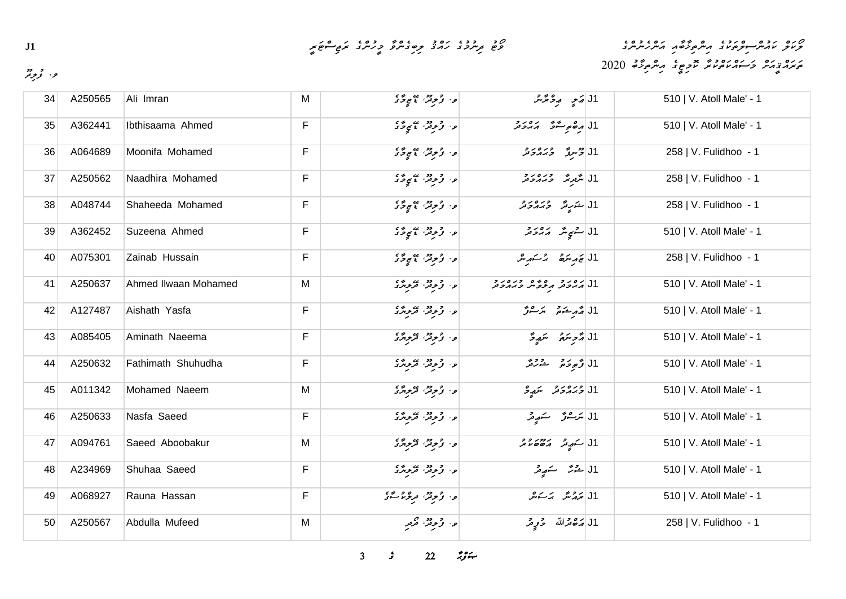*sCw7q7s5w7m< o<n9nOoAw7o< sCq;mAwBoEw7q<m; wBm;vB* م من المرة المرة المرة المرجع المرجع في المركبة 2020<br>مجم*د المريض المربوط المربع المرجع في المراجع المركبة* 

| 34 | A250565 | Ali Imran            | M           | ه . و <i>و ده</i> ، ، ، ، و د د    | 1ل  رَمِ په دِعْرَ تَرْ تَرْ               | 510   V. Atoll Male' - 1 |
|----|---------|----------------------|-------------|------------------------------------|--------------------------------------------|--------------------------|
| 35 | A362441 | Ibthisaama Ahmed     | $\mathsf F$ | و· تۇمۇتقى ئەمچ <sup>ى</sup> 2     | 11 رەموگى مەدرو                            | 510   V. Atoll Male' - 1 |
| 36 | A064689 | Moonifa Mohamed      | $\mathsf F$ | و . ۇوقۇ ، ئېچۇ ئ                  | J1 تۇس <i>بۇ دېم</i> ەد قر                 | 258   V. Fulidhoo - 1    |
| 37 | A250562 | Naadhira Mohamed     | $\mathsf F$ | ه . و وفرا ، ، ، و ،               | 11 م <sup>ئ</sup> رى <i>دىڭ جەنگەدى</i> ر  | 258   V. Fulidhoo - 1    |
| 38 | A048744 | Shaheeda Mohamed     | $\mathsf F$ | و· ۇرۇژ، ئېچ ۋى                    | J1 خىرى <i>گە جەم</i> ردىر                 | 258   V. Fulidhoo - 1    |
| 39 | A362452 | Suzeena Ahmed        | $\mathsf F$ | و· ۇروژ، ئاپاۋى                    | J1 ئىمپ <i>ىر مەدەن</i> ر                  | 510   V. Atoll Male' - 1 |
| 40 | A075301 | Zainab Hussain       | $\mathsf F$ | و <sub>`</sub> تو توټر، په پاتو تو | J1 <i>تم مریکھ پر شہر</i> میں              | 258   V. Fulidhoo - 1    |
| 41 | A250637 | Ahmed Ilwaan Mohamed | M           | ه وتونژ تروژی                      | 11 גְפְגַל גְלָפֵל לְגֹגְלָע               | 510   V. Atoll Male' - 1 |
| 42 | A127487 | Aishath Yasfa        | F           | و· وُفْرِيْنَ تَرْفِرْدَى          | J1 مەم ھەشقىق بىر <i>مى</i> شى <i>ر</i>    | 510   V. Atoll Male' - 1 |
| 43 | A085405 | Aminath Naeema       | $\mathsf F$ | و· وُفْرِيْنَ تَرْفِرْدَى          | 11 أ <i>مَّ مِ سَمَّةٍ</i> مَسَّمَةٍ مَسَّ | 510   V. Atoll Male' - 1 |
| 44 | A250632 | Fathimath Shuhudha   | $\mathsf F$ | ه وقويق ترجيزي                     | J1 <i>وَّجِوَة هُ</i> مَرْتَ <i>رٌ</i>     | 510   V. Atoll Male' - 1 |
| 45 | A011342 | Mohamed Naeem        | M           | ء وقرقر تروري                      | J1 <i>دبره دو سَه</i> ِ وَ                 | 510   V. Atoll Male' - 1 |
| 46 | A250633 | Nasfa Saeed          | $\mathsf F$ | ه . و وده محروری                   | J1 س <i>رحوڭ ستمەيت</i> ر                  | 510   V. Atoll Male' - 1 |
| 47 | A094761 | Saeed Aboobakur      | M           | و· وُفْرِيْنَ تَرْفِرْدَى          | J1 ڪوپٽر م <i>ن هون</i> د                  | 510   V. Atoll Male' - 1 |
| 48 | A234969 | Shuhaa Saeed         | F           | ه . و وقر محروری                   | J1 گے ش <i>مپ</i> ور                       | 510   V. Atoll Male' - 1 |
| 49 | A068927 | Rauna Hassan         | $\mathsf F$ | ه· وُمُحِمْرٌ مُرِمَّرٌ مُسَنَّىَ  | J1 <i>بَدَيْرَ بَرَسَ</i> سَ               | 510   V. Atoll Male' - 1 |
| 50 | A250567 | Abdulla Mufeed       | M           | ه . و څونن کرمړ                    | J1 <i>مَەھْتَر</i> اللە ق <i>ۇيەت</i> ر    | 258   V. Fulidhoo - 1    |

*3 <i>s s* **22** *z z*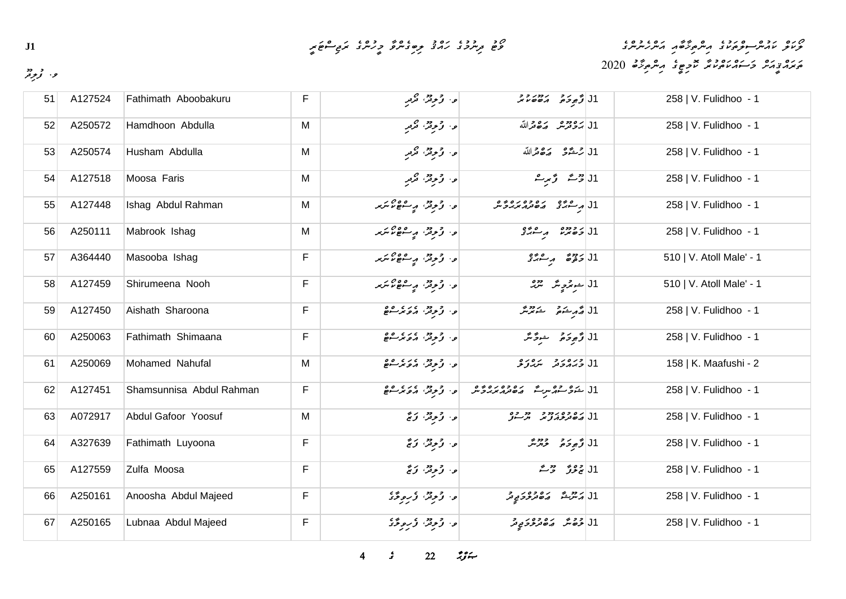*sCw7q7s5w7m< o<n9nOoAw7o< sCq;mAwBoEw7q<m; wBm;vB* م من المرة المرة المرة المرجع المرجع في المركبة 2020<br>مجم*د المريض المربوط المربع المرجع في المراجع المركبة* 

| 51 | A127524 | Fathimath Aboobakuru     | F            | و . و توقدٌ . فكرمبر    | 11 زُودَه روز در                                  | 258   V. Fulidhoo - 1    |
|----|---------|--------------------------|--------------|-------------------------|---------------------------------------------------|--------------------------|
| 52 | A250572 | Hamdhoon Abdulla         | M            | و- وحوقرٌ محمَّدٍ       | J1 كەفرىش كەھەراللە                               | 258   V. Fulidhoo - 1    |
| 53 | A250574 | Husham Abdulla           | M            | أوس وحوقرش اقرمر        | J1 تُسْتَوْ صَ <b>صْ</b> قَراللّه                 | 258   V. Fulidhoo - 1    |
| 54 | A127518 | Moosa Faris              | M            | أوس وحوقرش اقرمر        | J1 تۇشە ئەبرىشە                                   | 258   V. Fulidhoo - 1    |
| 55 | A127448 | Ishag Abdul Rahman       | $\mathsf{M}$ | ه دود. رحمن مدر         |                                                   | 258   V. Fulidhoo - 1    |
| 56 | A250111 | Mabrook Ishag            | M            | ه . زود. ريگوند         | J1 دوموه مسم <i>دة</i>                            | 258   V. Fulidhoo - 1    |
| 57 | A364440 | Masooba Ishag            | F            | ه . و وفرا ر مقام شهر   | J1 دودې مرغ په د                                  | 510   V. Atoll Male' - 1 |
| 58 | A127459 | Shirumeena Nooh          | F            | ه . وقرقه ، رقيقاتمبر   | 11 خو <i>بر ج</i> يگر مقرم                        | 510   V. Atoll Male' - 1 |
| 59 | A127450 | Aishath Sharoona         | F            | ه . و دو ، ده ده وه     | 1ل <mark>صَّهرِ مُحَمَّ</mark> مَ مُحَمَّدَتَّمَّ | 258   V. Fulidhoo - 1    |
| 60 | A250063 | Fathimath Shimaana       | F            | ه . و دو ، در ، ه ه     | J1 <i>وَّج</i> وحَمَّ ہوحَمَّدَ                   | 258   V. Fulidhoo - 1    |
| 61 | A250069 | Mohamed Nahufal          | $\mathsf{M}$ | ه . و وه ، د ه د ع ه ه  | J1 <i>دې ده د پره د</i> ه                         | 158   K. Maafushi - 2    |
| 62 | A127451 | Shamsunnisa Abdul Rahman | F            |                         |                                                   | 258   V. Fulidhoo - 1    |
| 63 | A072917 | Abdul Gafoor Yoosuf      | M            | و- وگوهڻ- وَجَ          | 11 كەھەردە دەرە دەرە                              | 258   V. Fulidhoo - 1    |
| 64 | A327639 | Fathimath Luyoona        | F            | ا و . و توفش کوچ        | J1 <i>وَّج</i> وحَہ مَحمَّدٌ مَنْ                 | 258   V. Fulidhoo - 1    |
| 65 | A127559 | Zulfa Moosa              | F            | ا و . و توفش کوچ        | J1 ج ع شرح من من من من من المنا                   | 258   V. Fulidhoo - 1    |
| 66 | A250161 | Anoosha Abdul Majeed     | F            | و- وُمِرْشَ وَرِهِ وُرُ | J1 كەنترىش كەھ <sup>و</sup> ر <i>جەنبە</i> ر      | 258   V. Fulidhoo - 1    |
| 67 | A250165 | Lubnaa Abdul Majeed      | F            | ه· وُمِرْشٌ وَرِهِ وُرُ | 11 تو <i>ھ شہر ماہ موجود ہ</i> ور                 | 258   V. Fulidhoo - 1    |

*4 s* 22 *i*<sub>s</sub> $\approx$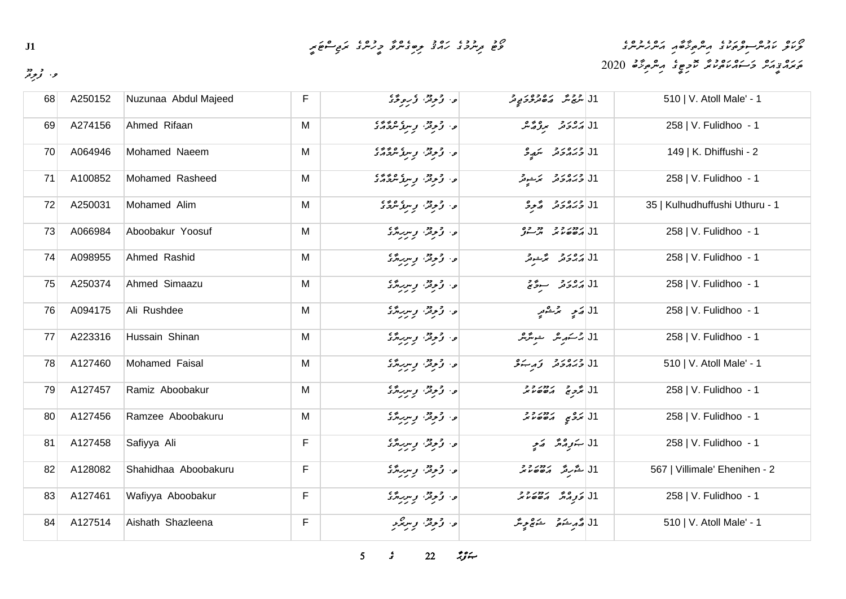*sCw7q7s5w7m< o<n9nOoAw7o< sCq;mAwBoEw7q<m; wBm;vB* م من المرة المرة المرة المرجع المرجع في المركبة 2020<br>مجم*د المريض المربوط المربع المرجع في المراجع المركبة* 

| 68 | A250152 | Nuzunaa Abdul Majeed | $\mathsf{F}$ | و· وُوِيْرُ، وُرِهِ وُدُ    | 11 مرچ م <i>گر مقافر څرو</i> <sub>نو</sub> پر                                                                                                                                                                                                                                                                                                                                                                                                                   | 510   V. Atoll Male' - 1       |
|----|---------|----------------------|--------------|-----------------------------|-----------------------------------------------------------------------------------------------------------------------------------------------------------------------------------------------------------------------------------------------------------------------------------------------------------------------------------------------------------------------------------------------------------------------------------------------------------------|--------------------------------|
| 69 | A274156 | Ahmed Rifaan         | M            | و· وُفِرُهُ وِسِؤْسُرُهُ وَ | 11 <i>גېرونډ بېروگ</i> ېر                                                                                                                                                                                                                                                                                                                                                                                                                                       | 258   V. Fulidhoo - 1          |
| 70 | A064946 | Mohamed Naeem        | M            | د : د دور و سرگرمرد د د     | J1 <i>وُبَهُ دَوَ مَهِ وُ</i>                                                                                                                                                                                                                                                                                                                                                                                                                                   | 149   K. Dhiffushi - 2         |
| 71 | A100852 | Mohamed Rasheed      | M            | و· وُوِيْنَ وِسِدْسْهُ الله | J1 <i>ۇنەۋەتۇ</i> ب <sub>ىرىشى</sub> تۇ                                                                                                                                                                                                                                                                                                                                                                                                                         | 258   V. Fulidhoo - 1          |
| 72 | A250031 | Mohamed Alim         | M            | د· د څونه وسرگسرگانه        | J1 <i>وبروبرو م</i> حوفر                                                                                                                                                                                                                                                                                                                                                                                                                                        | 35   Kulhudhuffushi Uthuru - 1 |
| 73 | A066984 | Aboobakur Yoosuf     | M            | أوسوقوش وسربردمى            | J1 كەھەم بىر مەدرە                                                                                                                                                                                                                                                                                                                                                                                                                                              | 258   V. Fulidhoo - 1          |
| 74 | A098955 | Ahmed Rashid         | M            | و- وفوقة وسربردة و          | J1 <i>مَدْدَ</i> مْرَ مُحْتَّبِعْدُ                                                                                                                                                                                                                                                                                                                                                                                                                             | 258   V. Fulidhoo - 1          |
| 75 | A250374 | Ahmed Simaazu        | M            | أور وقوقرا وسررونمى         | J1 <i>مەدەر</i> س <i>ىۋى</i>                                                                                                                                                                                                                                                                                                                                                                                                                                    | 258   V. Fulidhoo - 1          |
| 76 | A094175 | Ali Rushdee          | M            | أور وقوص وسربردي            | J1 <i>ھَ۔</i> پُر شُمبرِ                                                                                                                                                                                                                                                                                                                                                                                                                                        | 258   V. Fulidhoo - 1          |
| 77 | A223316 | Hussain Shinan       | M            | و• وفوقد وسربردی            | J1 ئر <i>سَمبر مَّثَر مَشْرَ مَثَر مَثَر مَثَر مَثَر مَثَر</i>                                                                                                                                                                                                                                                                                                                                                                                                  | 258   V. Fulidhoo - 1          |
| 78 | A127460 | Mohamed Faisal       | M            | أوسوقوش وسربردمى            | J1 <i>ۋىزەدى ق</i> ەبىكى                                                                                                                                                                                                                                                                                                                                                                                                                                        | 510   V. Atoll Male' - 1       |
| 79 | A127457 | Ramiz Aboobakur      | M            | ء وقوش وسرائرة              | 11 تر <i>ج</i> ع م <i>صوم</i> تر                                                                                                                                                                                                                                                                                                                                                                                                                                | 258   V. Fulidhoo - 1          |
| 80 | A127456 | Ramzee Aboobakuru    | M            | ء وقوش وسريرة               | 11 <i>برڈ</i> ی م <i>صوبہ د</i>                                                                                                                                                                                                                                                                                                                                                                                                                                 | 258   V. Fulidhoo - 1          |
| 81 | A127458 | Safiyya Ali          | $\mathsf{F}$ | أور وقوفرا وسرارونج         | 1ل  <i>ہنو ۾ ئڈ</i> چو                                                                                                                                                                                                                                                                                                                                                                                                                                          | 258   V. Fulidhoo - 1          |
| 82 | A128082 | Shahidhaa Aboobakuru | F            | ه . و وده و سر از ؟         | 11 څرنگر م <i>نځونډ</i>                                                                                                                                                                                                                                                                                                                                                                                                                                         | 567   Villimale' Ehenihen - 2  |
| 83 | A127461 | Wafiyya Aboobakur    | $\mathsf F$  | أوسوقوش وسيتردى             | $\begin{array}{cc} \mathcal{L}_{1} & \mathcal{L}_{2} & \mathcal{L}_{3} & \mathcal{L}_{4} & \mathcal{L}_{5} & \mathcal{L}_{6} & \mathcal{L}_{7} & \mathcal{L}_{8} & \mathcal{L}_{9} & \mathcal{L}_{1} & \mathcal{L}_{1} & \mathcal{L}_{1} & \mathcal{L}_{2} & \mathcal{L}_{3} & \mathcal{L}_{4} & \mathcal{L}_{5} & \mathcal{L}_{6} & \mathcal{L}_{7} & \mathcal{L}_{8} & \mathcal{L}_{9} & \mathcal{L}_{1} & \mathcal{L}_{1} & \mathcal{L}_{1} & \mathcal{L}_{$ | 258   V. Fulidhoo - 1          |
| 84 | A127514 | Aishath Shazleena    | $\mathsf F$  | أوا وتحوقته وسرعون          | 1ل <i>۾ُوِڪوَ</i> ڪَچُم <i>ِوِيَّرَ</i>                                                                                                                                                                                                                                                                                                                                                                                                                         | 510   V. Atoll Male' - 1       |

 $5$   $\dot{5}$   $22$   $\ddot{5}$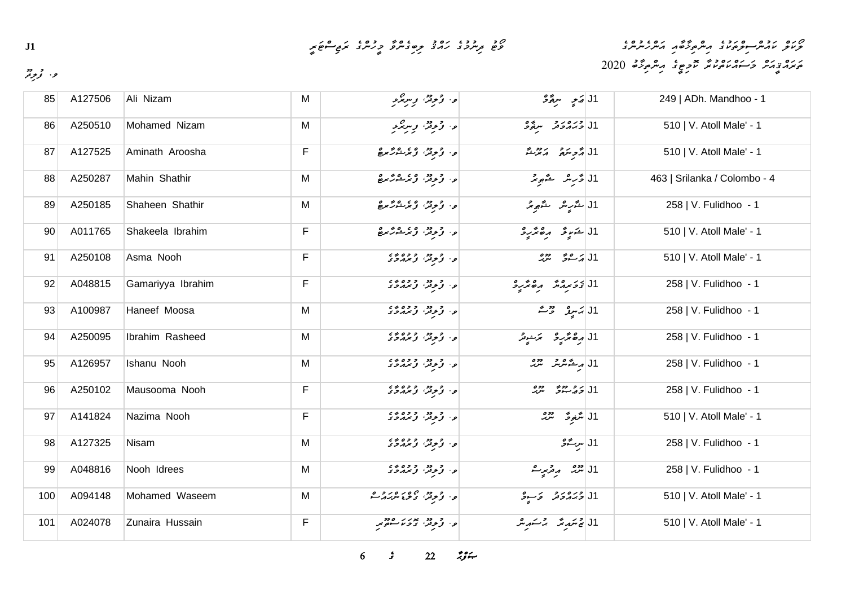*sCw7q7s5w7m< o<n9nOoAw7o< sCq;mAwBoEw7q<m; wBm;vB* م من المرة المرة المرة المرجع المرجع في المركبة 2020<br>مجم*د المريض المربوط المربع المرجع في المراجع المركبة* 

| 85  | A127506 | Ali Nizam         | M           | ه ژونژ، ویرنگو                                | J1 <i>ڇَڊِ</i> سِمُدَة                  | 249   ADh. Mandhoo - 1       |
|-----|---------|-------------------|-------------|-----------------------------------------------|-----------------------------------------|------------------------------|
| 86  | A250510 | Mohamed Nizam     | M           | ء- وُوِيْنُ وِسِرْيَوْرِ                      | J1 <i>دبروب</i> و سِهْرُ                | 510   V. Atoll Male' - 1     |
| 87  | A127525 | Aminath Aroosha   | $\mathsf F$ | و· وُمِعْرُ، ومُرْشَرُمْهِ هُ                 | J1 أَرَّحِ سَهْرٍ مَسْرَ يَشْرُ         | 510   V. Atoll Male' - 1     |
| 88  | A250287 | Mahin Shathir     | M           | و. وُمِنْ وْمُرْشْرُمْهِمْ                    | 11 <b>ئ</b> ربىر ئىق <sub>قو</sub> ىتر  | 463   Srilanka / Colombo - 4 |
| 89  | A250185 | Shaheen Shathir   | M           | و. وُمِنْ وَمَشْرَمَعْ                        | J1 ڪرپ شگه <sub>ج</sub> ير              | 258   V. Fulidhoo - 1        |
| 90  | A011765 | Shakeela Ibrahim  | $\mathsf F$ | و· وُمِعْرٌ، وَمَرْشَرَتْمَرَّةٍ              | J1 ڪَمِدٍ گُر ر <i>ھڻري</i> و           | 510   V. Atoll Male' - 1     |
| 91  | A250108 | Asma Nooh         | $\mathsf F$ | ه وقوته ووه به                                | J1 كەشىر يور                            | 510   V. Atoll Male' - 1     |
| 92  | A048815 | Gamariyya Ibrahim | $\mathsf F$ | ه و ده و ده ده.<br>د ووتر و برمادی            | 11 ئۇ <i>خىرمىڭ مەھىگرى</i> ئ           | 258   V. Fulidhoo - 1        |
| 93  | A100987 | Haneef Moosa      | M           | ه . و دو . وه ه و .<br>د الوفيل الوسم برو و . | J1 كەسپۇ ق <sup>ىم</sup> ىگە            | 258   V. Fulidhoo - 1        |
| 94  | A250095 | Ibrahim Rasheed   | M           | ه د وه ده ده                                  | 11 <sub>م</sub> ەھم <i>رى</i> ئىر يومر  | 258   V. Fulidhoo - 1        |
| 95  | A126957 | Ishanu Nooh       | M           |                                               | J1 م <i>ېشترنتر ترپر</i>                | 258   V. Fulidhoo - 1        |
| 96  | A250102 | Mausooma Nooh     | F           | ه . و دو . و وه و .<br>ه . و دون . و بر رو .  | $22 - 22 - 11$                          | 258   V. Fulidhoo - 1        |
| 97  | A141824 | Nazima Nooh       | $\mathsf F$ | ه . و دو و وه و و.<br>ه . و د ش . و سمار و و  | J1 سَمْعِ دَمَّ مَسْتَدَّ               | 510   V. Atoll Male' - 1     |
| 98  | A127325 | Nisam             | M           | ه وتونژ ووه ده                                | J1 س <sub>رس</sub> مبر محمد             | 258   V. Fulidhoo - 1        |
| 99  | A048816 | Nooh Idrees       | M           | د او دو و وه و د                              | J1 تېرى <i>ج مەمت</i> رىيە              | 258   V. Fulidhoo - 1        |
| 100 | A094148 | Mohamed Waseem    | M           | ه . و وو مه دره د و ه                         | J1 <i>ۋېزو دۆ</i> ئەسپى                 | 510   V. Atoll Male' - 1     |
| 101 | A024078 | Zunaira Hussain   | F           | ه . و وه بور ر وه .                           | J1 ىن ئىرىدىگە كى <sup>م سە</sup> مەيىر | 510   V. Atoll Male' - 1     |

 $6$   $\frac{1}{5}$   $22$   $\frac{1}{5}$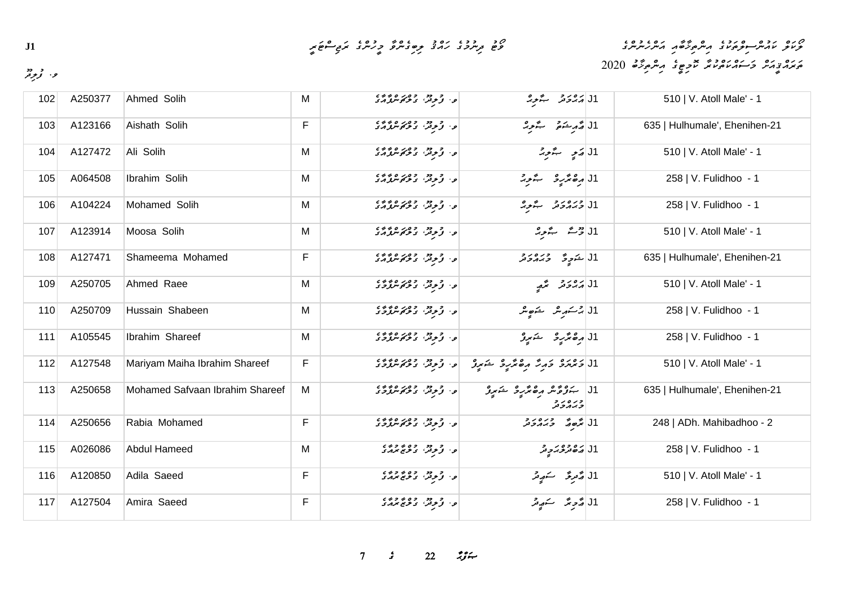*sCw7q7s5w7m< o<n9nOoAw7o< sCq;mAwBoEw7q<m; wBm;vB* م من المرة المرة المرة المرجع المرجع في المركبة 2020<br>مجم*د المريض المربوط المربع المرجع في المراجع المركبة* 

| 102 | A250377 | Ahmed Solih                     | M | ه . و دو . وه د ه د د .<br>او . و وفر . د نوم سروم د د    | J1 <i>ג برون</i> ژ څورژ                                    | 510   V. Atoll Male' - 1      |
|-----|---------|---------------------------------|---|-----------------------------------------------------------|------------------------------------------------------------|-------------------------------|
| 103 | A123166 | Aishath Solih                   | F | ه . و دو . وه د ه و و و .<br>د . و د د . و د کاربرد .     | J1 مەم ئىشقى مەھ <i>م بىر ئى</i> ر                         | 635   Hulhumale', Ehenihen-21 |
| 104 | A127472 | Ali Solih                       | M | ه . و دو. ده ده و ده ده.<br>د . و دند . د نوموسوم د       | 1ل  ر <sub>ک</sub> و گورڈ                                  | 510   V. Atoll Male' - 1      |
| 105 | A064508 | Ibrahim Solih                   | M | ه . و دو . وه د ه د د د .<br>او . و توفر . د توکوس تر د د | J1 مەھم <i>گىي</i> ۇ س <sup>ې</sup> رىر                    | 258   V. Fulidhoo - 1         |
| 106 | A104224 | Mohamed Solih                   | M | ه . تر دو. ده ده دود و                                    | J1 <i>ۋېزونو بەلۇر</i>                                     | 258   V. Fulidhoo - 1         |
| 107 | A123914 | Moosa Solih                     | M | ه و وه ده ده ده ده.<br>د و دند د د د سرد د د              | J1 تۇشە بە <i>ئى</i> رو                                    | 510   V. Atoll Male' - 1      |
| 108 | A127471 | Shameema Mohamed                | F | ه . و دو . وه د ه د د د .<br>او . و توفر . د توکوس تر د د | J1 خوچ <sup>ى</sup> دېم دىر                                | 635   Hulhumale', Ehenihen-21 |
| 109 | A250705 | Ahmed Raee                      | M | <i>و٠ وګونو، وور ووو</i> ،                                | 1ل <i>مَہُدْوَمْن مُرَّمِ</i>                              | 510   V. Atoll Male' - 1      |
| 110 | A250709 | Hussain Shabeen                 | M | ه . و وو . وه د و و و و .<br>او . و وتر . و نوموسرو و د   | J1 بُرْسَمب <i>ر بْنْهُ عَنْهُمْ بِ</i>                    | 258   V. Fulidhoo - 1         |
| 111 | A105545 | Ibrahim Shareef                 | M | ه . و دو.<br>- و د در د د د د سرود د                      | J1 مەھمەر ئىسىمبىر ئىسىمبىر ئىس                            | 258   V. Fulidhoo - 1         |
| 112 | A127548 | Mariyam Maiha Ibrahim Shareef   | F |                                                           | 11 د مهرده و در شهرده شوره و در در دور د و د دره د         | 510   V. Atoll Male' - 1      |
| 113 | A250658 | Mohamed Safvaan Ibrahim Shareef | M | <mark>و٠ ژوتر، ووړه ووو،</mark>                           | 11 بەر ئۇر مەمگرىبى ھەمبەر 9<br>و بر و بر د<br>تر بر بر تر | 635   Hulhumale', Ehenihen-21 |
| 114 | A250656 | Rabia Mohamed                   | F | ه . و وو . وه د و و و و .<br>او . و وتر . و نوموسرو د .   | 11 ب <i>ُڑھ پُھ دی دور د</i>                               | 248   ADh. Mahibadhoo - 2     |
| 115 | A026086 | Abdul Hameed                    | M | ه . و دو . وه و و و .<br>ه . و و تر . و تر ی بر ر         | J1   پَ <i>هُ قروْبَ</i> بِهِ تَرُ                         | 258   V. Fulidhoo - 1         |
| 116 | A120850 | Adila Saeed                     | F | و . و ود . وه و و و .                                     | J1 ۾َمَرِءَ سَمَ <i>دٍ مَ</i>                              | 510   V. Atoll Male' - 1      |
| 117 | A127504 | Amira Saeed                     | F | ه . و دو . وه و و و .<br>  و موتر . و تو پن بردر و        | 1ل  <i>مَدَّدِيمُ</i> سَنَ مِيقَر                          | 258   V. Fulidhoo - 1         |

*7 sC 22 nNw?mS*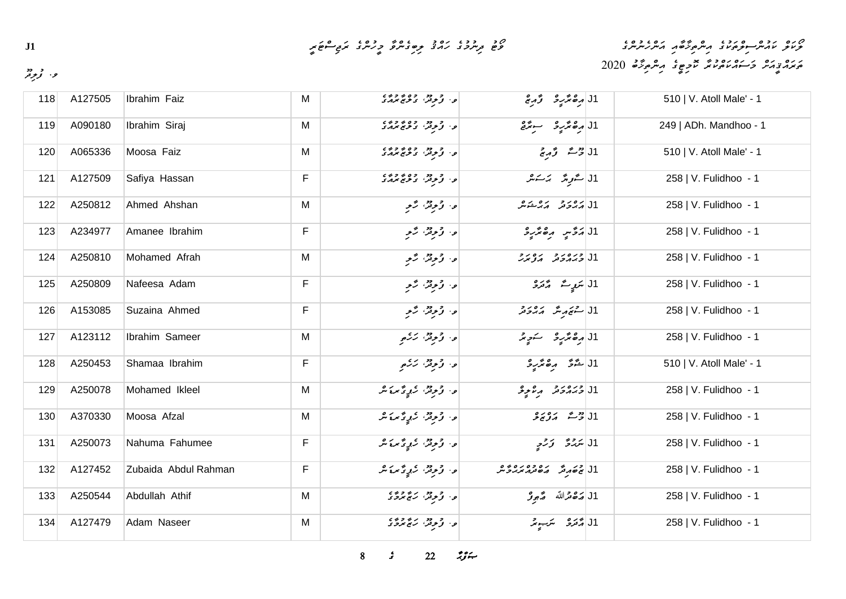*sCw7q7s5w7m< o<n9nOoAw7o< sCq;mAwBoEw7q<m; wBm;vB* م من المرة المرة المرة المرجع المرجع في المركبة 2020<br>مجم*د المريض المربوط المربع المرجع في المراجع المركبة* 

| 118 | A127505 | Ibrahim Faiz         | M           | و٠ وګونش، دولوموړ                                   | J1 م <i>ِ ھُنگرد قُم</i> بر                 | 510   V. Atoll Male' - 1 |
|-----|---------|----------------------|-------------|-----------------------------------------------------|---------------------------------------------|--------------------------|
| 119 | A090180 | Ibrahim Siraj        | M           | ه . و دو . وه و و و .<br>ه . و د تر . و د م مرد و   | J1 م <i>ەھترىب</i> ۇ سو <i>ترى</i>          | 249   ADh. Mandhoo - 1   |
| 120 | A065336 | Moosa Faiz           | M           | ه . و ود . وه و و و .<br>ه . و وقر . و و م مرد و    | J1 تۇشەھ ئۇرى <i>نى</i>                     | 510   V. Atoll Male' - 1 |
| 121 | A127509 | Safiya Hassan        | $\mathsf F$ | ه . و دو . وه و و و .<br>  د . و و تر . و و م مرد د | J1 ڪ <sub>يونگ</sub> پرڪيش                  | 258   V. Fulidhoo - 1    |
| 122 | A250812 | Ahmed Ahshan         | M           | و ، و وفر المحمو                                    | 11 <i>הُدونر م</i> ُرْشَمْر                 | 258   V. Fulidhoo - 1    |
| 123 | A234977 | Amanee Ibrahim       | $\mathsf F$ | اء و وفق رضي                                        | J1   كەڭ سەھەر <i>كەنب</i> و                | 258   V. Fulidhoo - 1    |
| 124 | A250810 | Mohamed Afrah        | M           | ء وقروقز، رحمو                                      | J1 <i>دې مرد</i> کرونږ                      | 258   V. Fulidhoo - 1    |
| 125 | A250809 | Nafeesa Adam         | $\mathsf F$ | ه . وُمُوتِرٌ، رُّمِ                                | J1 سَمِيتٌ مَ <i>مَّدَة</i>                 | 258   V. Fulidhoo - 1    |
| 126 | A153085 | Suzaina Ahmed        | $\mathsf F$ | و- وُوِيْرُ، رُّمِ                                  | J1 ئىنج <sub>م</sub> ېتى <i>گە ئەبرەت</i> ر | 258   V. Fulidhoo - 1    |
| 127 | A123112 | Ibrahim Sameer       | M           | و• وڅونژ، رَرُهِ                                    | J1 <sub>م</sub> ەھم <i>رى</i> ئوپر          | 258   V. Fulidhoo - 1    |
| 128 | A250453 | Shamaa Ibrahim       | $\mathsf F$ | د ۰ وګوفري کرکړه په                                 | J1 ڪُرڻ م <i>ڻ مُ</i> رد                    | 510   V. Atoll Male' - 1 |
| 129 | A250078 | Mohamed Ikleel       | M           | ە . ۇرۇش ئېرگەندە بىر                               | J1 <i>ډېره ده</i> پرعږي په                  | 258   V. Fulidhoo - 1    |
| 130 | A370330 | Moosa Afzal          | M           | ه . وُمُحِمْرٌ . رُوِ وُمَدَ مَرْ                   | J1 تۇش <sub>ى</sub> م بەرىخ بى              | 258   V. Fulidhoo - 1    |
| 131 | A250073 | Nahuma Fahumee       | F           | <mark>و: ۇمۇش ئېرىگىمى</mark> ئىگە                  | 1ل  <i>سَرْدُوَّة وَرْدِي</i>               | 258   V. Fulidhoo - 1    |
| 132 | A127452 | Zubaida Abdul Rahman | $\mathsf F$ | أوا وكوفره كرو كالركاش                              | 11 مىھەر ئىر مەدەمدە مەدە                   | 258   V. Fulidhoo - 1    |
| 133 | A250544 | Abdullah Athif       | M           | ه . و دو . زه دوه ،                                 | J1 كەھىراللە گ <i>ەبو</i> ر                 | 258   V. Fulidhoo - 1    |
| 134 | A127479 | Adam Naseer          | M           | و٠ وګونش، رنځ بروی                                  | J1 مُرترد سَ سَدِيرٌ                        | 258   V. Fulidhoo - 1    |

**8** *s* **22** *z***<sub>***3i***</sub>**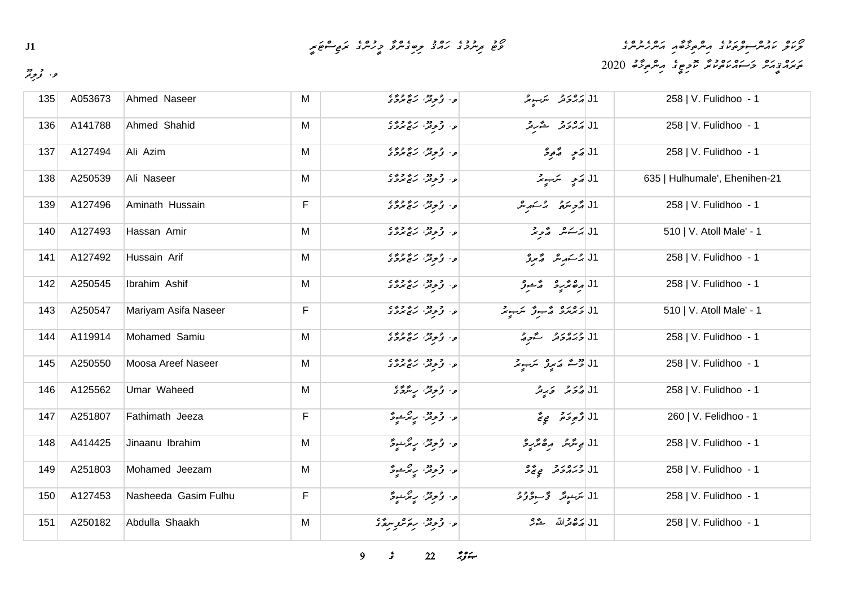*sCw7q7s5w7m< o<n9nOoAw7o< sCq;mAwBoEw7q<m; wBm;vB* م من المرة المرة المرة المرجع المرجع في المركبة 2020<br>مجم*د المريض المربوط المربع المرجع في المراجع المركبة* 

| 135 | A053673 | Ahmed Naseer         | M           | و· وڅونه، رئی بردي                   | J1 <i>مَہُدُوَنَہ</i> مَرْسِوِيْر                      | 258   V. Fulidhoo - 1         |
|-----|---------|----------------------|-------------|--------------------------------------|--------------------------------------------------------|-------------------------------|
| 136 | A141788 | Ahmed Shahid         | M           | ه . و دو . زه وه .                   | J1 <i>مَدْوَنْزِ</i> حَمْدِيْر                         | 258   V. Fulidhoo - 1         |
| 137 | A127494 | Ali Azim             | M           | ه . و دو .<br>د . و د تر . رنج برو د | J1 <i> مَدِ م</i> ُّن <i>وف</i>                        | 258   V. Fulidhoo - 1         |
| 138 | A250539 | Ali Naseer           | M           | ه . و وو. رئج بروی                   | 1ل <i>ھَ۔</i> سِ سَرسومُر                              | 635   Hulhumale', Ehenihen-21 |
| 139 | A127496 | Aminath Hussain      | F           | ه . و دو . زه وه .                   | 11 أ <i>مَّ جِينَهُ</i> بِمُ سَنَّهُ مِيْشَ            | 258   V. Fulidhoo - 1         |
| 140 | A127493 | Hassan Amir          | M           | ه . و وو . ره دوه                    | J1 ئەسەمىش ھ <sup>ە</sup> جەمئە                        | 510   V. Atoll Male' - 1      |
| 141 | A127492 | Hussain Arif         | M           | ه . و دو . زه د و .                  | J1 ترسەرى <i>گە مەمب</i> ۇ                             | 258   V. Fulidhoo - 1         |
| 142 | A250545 | Ibrahim Ashif        | M           | ه . و دو . زه وه .                   | J1 مەھم <i>گىي</i> ۇ م <i>ەشىق</i>                     | 258   V. Fulidhoo - 1         |
| 143 | A250547 | Mariyam Asifa Naseer | F           | والمحتجمة كالمحروم                   | J1 <i>كَمْ مْدْمَرْدْ مْهَ</i> بِيرْ مْرَسِيمْه        | 510   V. Atoll Male' - 1      |
| 144 | A119914 | Mohamed Samiu        | M           | و· وفوفر، رَيْح مُروى                | J1 <i>وَبَهُ دَوْ</i> سُمْحِهُ                         | 258   V. Fulidhoo - 1         |
| 145 | A250550 | Moosa Areef Naseer   | M           | ه . و دو . زه وه .                   | J1 جيءَ <sub>مَ م</sub> ِرِوْ  مَرَ <sub>سِو</sub> يرُ | 258   V. Fulidhoo - 1         |
| 146 | A125562 | Umar Waheed          | M           | ه ژونژ، په ژوئ                       | J1 <i>مەنى قى</i> رى <i>تى</i>                         | 258   V. Fulidhoo - 1         |
| 147 | A251807 | Fathimath Jeeza      | $\mathsf F$ | ه . وُمُوتِرٌ، رِيْرُجُودٌ           | 1ل وٌموحَمُ ۾ءُ                                        | 260   V. Felidhoo - 1         |
| 148 | A414425 | Jinaanu Ibrahim      | M           | ه . وُمِرْشَ رِيْرَ شِرَقَ           | J1 <sub>فو</sub> ىترىتر ب <i>ەھتىپ</i> ۇ               | 258   V. Fulidhoo - 1         |
| 149 | A251803 | Mohamed Jeezam       | M           | ه . وُمِرْشَ رِيْرَ شِرَقَ           | J1 <i>دېرونې يې غ</i> و                                | 258   V. Fulidhoo - 1         |
| 150 | A127453 | Nasheeda Gasim Fulhu | $\mathsf F$ | ه . وُمُوتِرٌ رِ بِرَجُودٌ           | J1 مَرَسْوِمَّر گَرَّ وَوَكَرْ تَ                      | 258   V. Fulidhoo - 1         |
| 151 | A250182 | Abdulla Shaakh       | M           | ە . ۇرۇپر بەرگەر بىرگە               | J1 مَەقراللە شَرْرُ                                    | 258   V. Fulidhoo - 1         |

*9 s* 22  $29$  *n*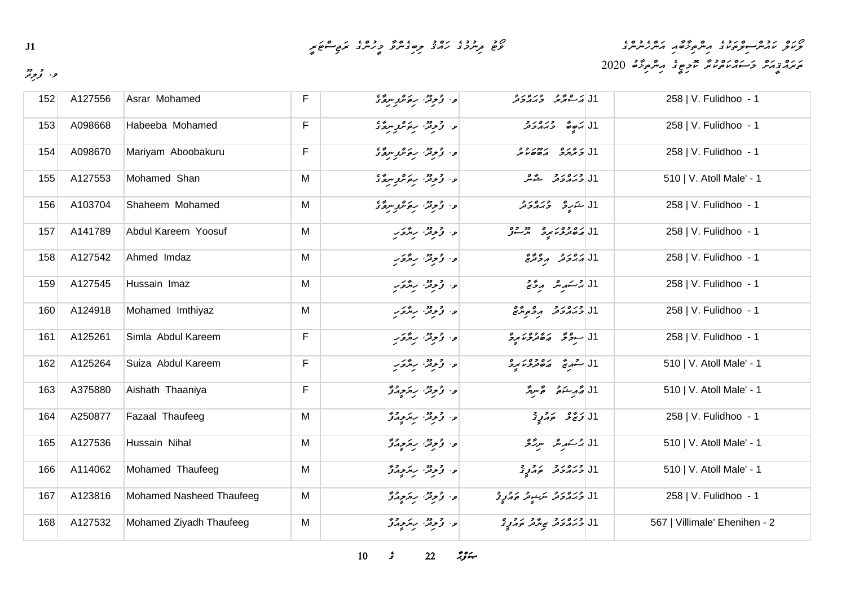*sCw7q7s5w7m< o<n9nOoAw7o< sCq;mAwBoEw7q<m; wBm;vB* م من المرة المرة المرة المرجع المرجع في المركبة 2020<br>مجم*د المريض المربوط المربع المرجع في المراجع المركبة* 

| 152 | A127556 | Asrar Mohamed            | $\mathsf{F}$ | و· ۇرۇش بەھ ئۇسىدۇ.    | 11 كەشقىر <i>دىن</i> دىر                                | 258   V. Fulidhoo - 1         |
|-----|---------|--------------------------|--------------|------------------------|---------------------------------------------------------|-------------------------------|
| 153 | A098668 | Habeeba Mohamed          | F            | ە· ۇرۇپر، رەكروسرەك    | J1 <i>بَيْهِ جُهُ دُورُدُ وَ</i>                        | 258   V. Fulidhoo - 1         |
| 154 | A098670 | Mariyam Aboobakuru       | F            | و- ۇجەنز، سەھرىي سىڭ ئ |                                                         | 258   V. Fulidhoo - 1         |
| 155 | A127553 | Mohamed Shan             | M            | و- ۇجەنز، سەھرىي سىڭ ئ | J1 <i>ۋېرە دۆ</i> شەھر                                  | 510   V. Atoll Male' - 1      |
| 156 | A103704 | Shaheem Mohamed          | M            | ه . و وقرا رەتروپىدە ؟ | J1 خرى <sub>ر</sub> و ئ <i>ۇنەۋەت</i> ر                 | 258   V. Fulidhoo - 1         |
| 157 | A141789 | Abdul Kareem Yoosuf      | M            | ه و وقرقه بروگربه      | 11 رەپرورىرە ب <sup>ور</sup> دە                         | 258   V. Fulidhoo - 1         |
| 158 | A127542 | Ahmed Imdaz              | M            | ء وقرقرض بالمركزب      | J1 <i>הُגُوَنَّرُ م</i> ُوَنَ <i>رُّجُ</i>              | 258   V. Fulidhoo - 1         |
| 159 | A127545 | Hussain Imaz             | M            | ه وقرقر رؤتر           | J1 بر سَمبر شرح مرحزم ج                                 | 258   V. Fulidhoo - 1         |
| 160 | A124918 | Mohamed Imthiyaz         | M            | ه وقرقر بەرگەر         | J1 <i>ديرور د م</i> و <i>مري</i>                        | 258   V. Fulidhoo - 1         |
| 161 | A125261 | Simla Abdul Kareem       | F            | د· و څوند رمزو په      | J1 بەر ئۇي ھەم <i>ز قەرىپ</i> ۇ                         | 258   V. Fulidhoo - 1         |
| 162 | A125264 | Suiza Abdul Kareem       | $\mathsf F$  | ه و وقرقه بروگربه      | J1 شهريج مەھەر دەرىي 3                                  | 510   V. Atoll Male' - 1      |
| 163 | A375880 | Aishath Thaaniya         | E            | ه وُوِسٌ رِهَ وِهُ وَ  | J1 مەم ئىقتىمە ئەھمىيەتر                                | 510   V. Atoll Male' - 1      |
| 164 | A250877 | Fazaal Thaufeeg          | M            | ه وُفِينٌ بِهُ فَهُدً  | J1 توتج عن محمد <i>تو</i> تح                            | 258   V. Fulidhoo - 1         |
| 165 | A127536 | Hussain Nihal            | M            | ه ووده بالمعرفة        | J1 پڑےم <i>ہ بڑ سربڑ</i> و                              | 510   V. Atoll Male' - 1      |
| 166 | A114062 | Mohamed Thaufeeg         | M            | ء وقرقة بالأجازة       | 11 <i>ډېرونه وه وو</i>                                  | 510   V. Atoll Male' - 1      |
| 167 | A123816 | Mohamed Nasheed Thaufeeg | M            | ء وقرقة بالرجادة       | 11 <i>دېمم</i> ونه تر <sub>ىشون</sub> ر م <i>ەم</i> ېرى | 258   V. Fulidhoo - 1         |
| 168 | A127532 | Mohamed Ziyadh Thaufeeg  | M            | ه وقرقه بالرجاز        | 11 <i>دېمم</i> رد <sub>ن</sub> م پر تر <i>م</i> ټرېږ    | 567   Villimale' Ehenihen - 2 |

 $10$  *s*  $22$  *n***<sub>s</sub>**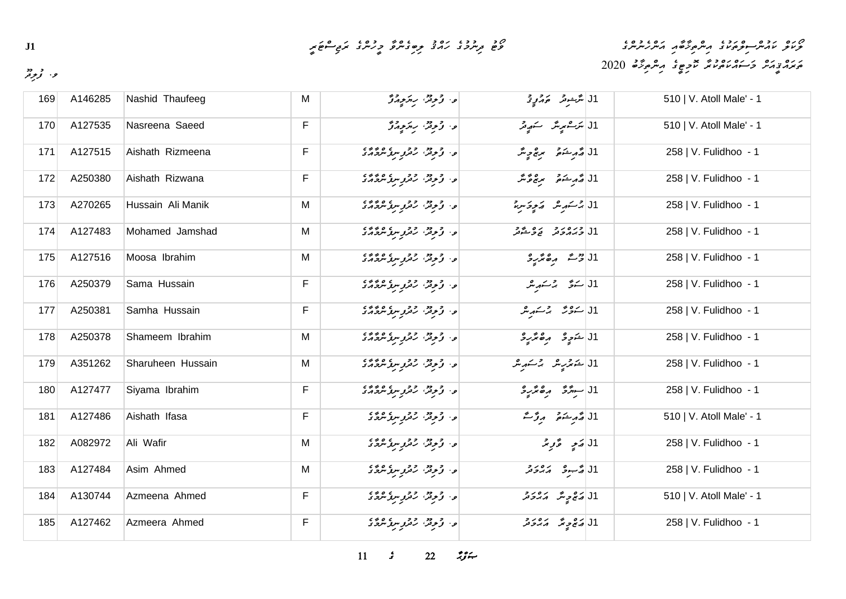*sCw7q7s5w7m< o<n9nOoAw7o< sCq;mAwBoEw7q<m; wBm;vB* م من المرة المرة المرة المرجع المرجع في المركبة 2020<br>مجم*د المريض المربوط المربع المرجع في المراجع المركبة* 

| 169 | A146285 | Nashid Thaufeeg   | M            | ه و وده به وړو                     | J1 سَّرْسُومَر <sub>مَوَ</sub> تَرُدٍ تَرَ | 510   V. Atoll Male' - 1 |
|-----|---------|-------------------|--------------|------------------------------------|--------------------------------------------|--------------------------|
| 170 | A127535 | Nasreena Saeed    | $\mathsf{F}$ | ه وقوفة بالأوادة                   | J1 <i>مَرَسْمَہِیڈ سَہِیڈ</i>              | 510   V. Atoll Male' - 1 |
| 171 | A127515 | Aishath Rizmeena  | $\mathsf{F}$ | و٠ وقوش العروسوكي معدادي           | J1 مۇم ئىشمۇ سىم <i>بې</i> تىر             | 258   V. Fulidhoo - 1    |
| 172 | A250380 | Aishath Rizwana   | $\mathsf F$  | د کوچر دور پروتروری                | 1ل م <sub>ە</sub> م ئىسقىمىتى ئىستىر       | 258   V. Fulidhoo - 1    |
| 173 | A270265 | Hussain Ali Manik | M            | د و وه د د د پروسو پروس            | J1 يُرْسَمَّ مِنْ مَتَّ يَرْمِيْتُمْ مِنْ  | 258   V. Fulidhoo - 1    |
| 174 | A127483 | Mohamed Jamshad   | M            | و٠ وقوش العروسوكي معدادي           | J1 <i>وبزور و دوس</i> تم                   | 258   V. Fulidhoo - 1    |
| 175 | A127516 | Moosa Ibrahim     | M            | و و وه دو ورو معده ده              | J1 جي شهر مقدير محمد بير <i>1</i>          | 258   V. Fulidhoo - 1    |
| 176 | A250379 | Sama Hussain      | $\mathsf F$  | ه و ده دور پروترونه                | J1 سَتَرَّ بِرْسَم <i>ِي</i> سْ            | 258   V. Fulidhoo - 1    |
| 177 | A250381 | Samha Hussain     | $\mathsf F$  | ه و دو دو در پروترونه              | J1 كەبىر ئەسىر شەر بىر                     | 258   V. Fulidhoo - 1    |
| 178 | A250378 | Shameem Ibrahim   | M            | د کاروژ کاروسرکانگرمانه            | J1 ڪوچ م <i>ڻوگر</i> و                     | 258   V. Fulidhoo - 1    |
| 179 | A351262 | Sharuheen Hussain | M            | ە · ئۇچەش كەنگەنىيەت ئەھمەد        | J1 ڪيتر <i>پير برڪوينز</i>                 | 258   V. Fulidhoo - 1    |
| 180 | A127477 | Siyama Ibrahim    | F            | ه و دو دو در پروترونه              | J1 سورم مەم <i>رى</i> رە                   | 258   V. Fulidhoo - 1    |
| 181 | A127486 | Aishath Ifasa     | $\mathsf F$  | ا و د و د د د و سر سر سر د د و د ا | U1 مُدمِسَمَّ دِرَّتَهُ                    | 510   V. Atoll Male' - 1 |
| 182 | A082972 | Ali Wafir         | M            | ە · ۇجەنز، رەزىبىر ئىرەپ           | J1   رَمٍ عَ <i>وب</i> تر                  | 258   V. Fulidhoo - 1    |
| 183 | A127484 | Asim Ahmed        | M            | ە· ئۇچەر مەترىپ تەرەپچە            | J1 مەسب <i>ە مەدەن</i> ر                   | 258   V. Fulidhoo - 1    |
| 184 | A130744 | Azmeena Ahmed     | $\mathsf F$  | ە · ۇجەنز، رەزىبىر ئىرەپ           | J1 <i>ھي جو مئ</i> ر مقام پر               | 510   V. Atoll Male' - 1 |
| 185 | A127462 | Azmeera Ahmed     | $\mathsf F$  | ە· ئۇچەش 2قرىرىنگەنگەنگە           | J1 <i>ھَ جُوجدٌ مَدُو</i> مَرُ             | 258   V. Fulidhoo - 1    |

 $11$  *s*  $22$  *i*<sub>s</sub>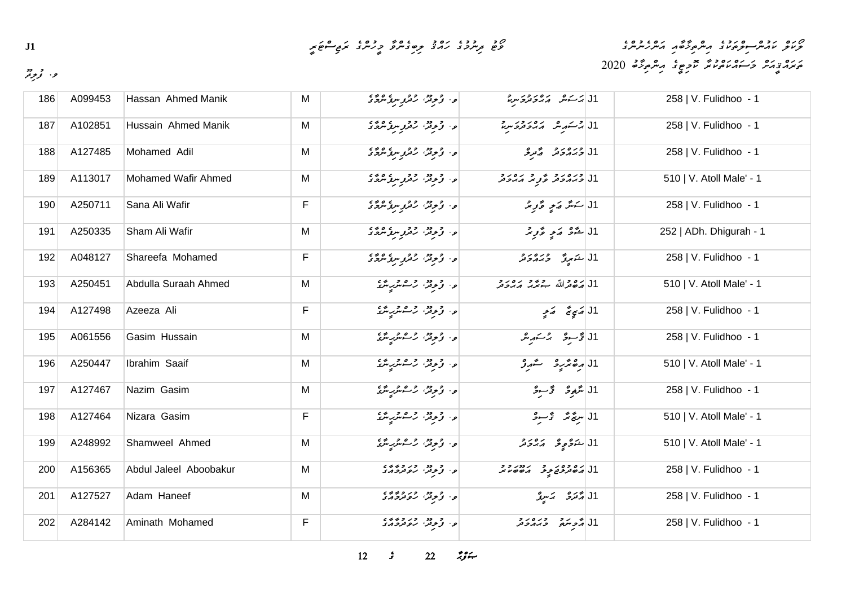*sCw7q7s5w7m< o<n9nOoAw7o< sCq;mAwBoEw7q<m; wBm;vB* م من المرة المرة المرة المرجع المرجع في المركبة 2020<br>مجم*د المريض المربوط المربع المرجع في المراجع المركبة* 

| 186 | A099453 | Hassan Ahmed Manik         | M           | ا و . و د ده د د و سرو مرد د                        | 11 ئەسەمىر بەرەردى بىر <i>ى</i> ر                  | 258   V. Fulidhoo - 1    |
|-----|---------|----------------------------|-------------|-----------------------------------------------------|----------------------------------------------------|--------------------------|
| 187 | A102851 | Hussain Ahmed Manik        | M           | د کومه دوربردگردد ک                                 | 11 بر سور شهر مرد در در مرب <i>ر ب</i> ر           | 258   V. Fulidhoo - 1    |
| 188 | A127485 | Mohamed Adil               | M           | د کوچن ريزو سرگرمرد د                               | J1 <i>ڈیز م</i> حقہ گھری گھر                       | 258   V. Fulidhoo - 1    |
| 189 | A113017 | <b>Mohamed Wafir Ahmed</b> | M           | د کوچین گور مورد در در د                            | 11 <i>وبروبرو په و پروب</i> رو                     | 510   V. Atoll Male' - 1 |
| 190 | A250711 | Sana Ali Wafir             | $\mathsf F$ | و· وګوفر، رفروسوکرمړنۍ                              | J1 س <i>ن</i> متر <sub>ض</sub> رِ عُ <i>و</i> مُدْ | 258   V. Fulidhoo - 1    |
| 191 | A250335 | Sham Ali Wafir             | M           | ە· ۇجەنز، رەزىبىر ئىبرۇ                             | J1 ڪُر <i>و <sub>مک</sub>و وُويز</i>               | 252   ADh. Dhigurah - 1  |
| 192 | A048127 | Shareefa Mohamed           | F           | و· وګوفر، رفروسوکرمړنۍ                              | J1 خ <i>وبوڭ دېم</i> ردونر                         | 258   V. Fulidhoo - 1    |
| 193 | A250451 | Abdulla Suraah Ahmed       | M           | ه . وُمِنْ رُکْسُرْرِسُّ                            | 11 مەھىراللە جۇيز مەرد                             | 510   V. Atoll Male' - 1 |
| 194 | A127498 | Azeeza Ali                 | F           | ە · ئۇچىق شەھرىرىگە                                 | J1 <i>ڇُي ڇَ ڇَ</i>                                | 258   V. Fulidhoo - 1    |
| 195 | A061556 | Gasim Hussain              | M           | ه . و <i>وقرار را شهر پ</i> رس                      | J1 تۇسو <i>ق بى</i> شمېرى <i>ش</i>                 | 258   V. Fulidhoo - 1    |
| 196 | A250447 | Ibrahim Saaif              | M           | ە · ئۇچىق شەھرىرىگە                                 | J1 رەئىر ئەرز                                      | 510   V. Atoll Male' - 1 |
| 197 | A127467 | Nazim Gasim                | M           | ە· ئۇچەش شەھرىرىتىگە                                | 11 مئى <sub>نج</sub> ۇ گ <sub>ەسى</sub> ر          | 258   V. Fulidhoo - 1    |
| 198 | A127464 | Nizara Gasim               | $\mathsf F$ | ه . و وقرأ الرحم مرسمة الله عن                      | 1ل س <sub></sub> يچ مٿر گ <sup>ي</sup> -وگر        | 510   V. Atoll Male' - 1 |
| 199 | A248992 | Shamweel Ahmed             | M           | ە· ئۇچەش راھىرىدىكى                                 | J1 ڪو <i>ي دي دور</i>                              | 510   V. Atoll Male' - 1 |
| 200 | A156365 | Abdul Jaleel Aboobakur     | M           | د . و وو . د د د د د .<br>  د . و د تر . سومرو اړ . | 11 رەدەر دەرەدە                                    | 258   V. Fulidhoo - 1    |
| 201 | A127527 | Adam Haneef                | M           | ه . و دو . و د و د د .<br>ه . و د تر .              | 11 م <i>م</i> ترو برس <i>و</i>                     | 258   V. Fulidhoo - 1    |
| 202 | A284142 | Aminath Mohamed            | F           | ه . و دو . و د و د د .<br>م . و و تر . موترو بر د   | 11 <i>مُوسَعْ دَيَمُ دو</i>                        | 258   V. Fulidhoo - 1    |

 $12$  *s*  $22$  *n***<sub>s</sub>**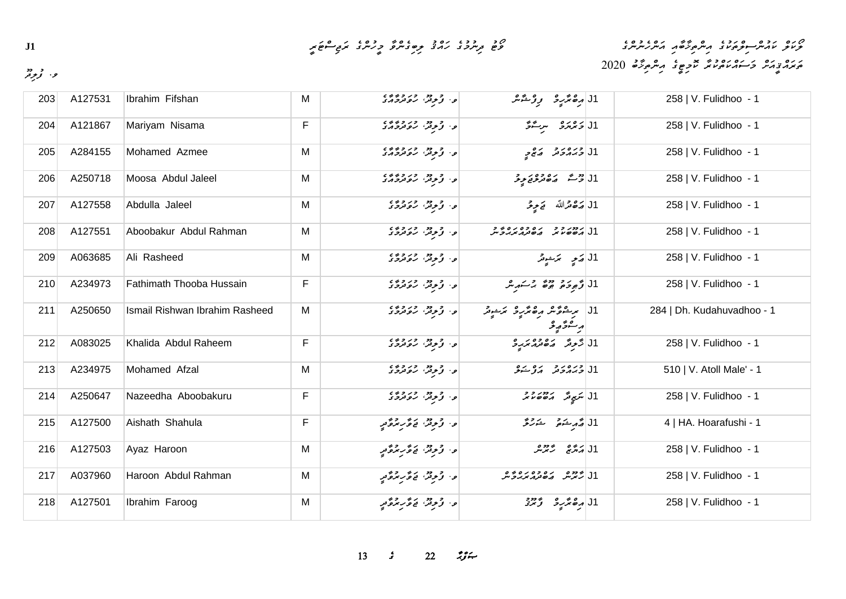*sCw7q7s5w7m< o<n9nOoAw7o< sCq;mAwBoEw7q<m; wBm;vB* م من المرة المرة المرة المرجع المرجع في المركبة 2020<br>مجم*د المريض المربوط المربع المرجع في المراجع المركبة* 

| 203 | A127531 | Ibrahim Fifshan                | M           | ه . و ود در دوره و                                 | J1 مەھم <i>گرى</i> بورگىشىل                                      | 258   V. Fulidhoo - 1      |
|-----|---------|--------------------------------|-------------|----------------------------------------------------|------------------------------------------------------------------|----------------------------|
| 204 | A121867 | Mariyam Nisama                 | F           | ه . و ود در دوره .<br>م . و وش                     | J1 <i>وبروو س</i> رگرمی                                          | 258   V. Fulidhoo - 1      |
| 205 | A284155 | Mohamed Azmee                  | M           | ه . و دو . و د و د د .<br>ه . و د تر . ره ترو بر د | J1 <i>ديرورو ده</i>                                              | 258   V. Fulidhoo - 1      |
| 206 | A250718 | Moosa Abdul Jaleel             | M           | ه . و دو . و د و د د .<br>ه . و د فر . موترو بر د  | J1 جي شه په <i>موړنو پو</i> لو                                   | 258   V. Fulidhoo - 1      |
| 207 | A127558 | Abdulla Jaleel                 | M           | ه . و دو . و دوه .<br>م . و دِش ره مرو د           | J1 صَرْحَة مِرْاللّه        يَو جِرْحَر                          | 258   V. Fulidhoo - 1      |
| 208 | A127551 | Aboobakur Abdul Rahman         | M           | ه . و دو دروه .<br>د . و د ش                       |                                                                  | 258   V. Fulidhoo - 1      |
| 209 | A063685 | Ali Rasheed                    | M           | ه . و دو . و د و د .<br>ه . و و ش                  | J1 <i>ڇُجِ - مَرَ</i> حو <i>مَرُ</i>                             | 258   V. Fulidhoo - 1      |
| 210 | A234973 | Fathimath Thooba Hussain       | F           | ه . و دو . و د و د .<br>ه . و و ش                  | 11 <i>ؤوده وهه برڪه</i> مر                                       | 258   V. Fulidhoo - 1      |
| 211 | A250650 | Ismail Rishwan Ibrahim Rasheed | M           | ه . و دو . و د و د .<br>م . و د ش . ره مرو د       | 11 برشۇش رەئرى <sub>ر</sub> ۇ بر <sub>ىشونر</sub><br>برڪبۇ پر بۇ | 284   Dh. Kudahuvadhoo - 1 |
| 212 | A083025 | Khalida Abdul Raheem           | $\mathsf F$ | ه . و دو . و د و د .<br>م . و د ش . ره مرو د       | J1 <i>ڈونڈ مقوم تربر</i> و                                       | 258   V. Fulidhoo - 1      |
| 213 | A234975 | Mohamed Afzal                  | M           | ه . و دو . و د و د .<br>ه . و و تر . ره ترو د      | J1 <i>ۋېزەر دې</i> مۇشكى                                         | 510   V. Atoll Male' - 1   |
| 214 | A250647 | Nazeedha Aboobakuru            | $\mathsf F$ | ه . و دو . و د و د .<br>ه . و و تر . ره ترو د      | 11 سَ <sub>بِع</sub> ِ <i>شَرْ مَرْهُ صَ</i> عَ مَدَ             | 258   V. Fulidhoo - 1      |
| 215 | A127500 | Aishath Shahula                | $\mathsf F$ | ه . وقوقر ، فأقربتموهي                             | J1 مُرمِسَمَّ شَرْتَزَ                                           | 4   HA. Hoarafushi - 1     |
| 216 | A127503 | Ayaz Haroon                    | M           | و· وُمِنْ وَوَرْ مِنْ وَمُرَ وَمُرَةٍ              | J1 <i>הگ</i> ی گیرمبر                                            | 258   V. Fulidhoo - 1      |
| 217 | A037960 | Haroon Abdul Rahman            | M           | ه . وُمِنْ يَوَرُبُوهُ بِهِ                        | 11 <i>دوه ده ده ده ده وه</i>                                     | 258   V. Fulidhoo - 1      |
| 218 | A127501 | Ibrahim Faroog                 | M           | ه . وُمِنْ يَوَرُبُوهُ بِهِ                        | J1 <sub>م</sub> ەمگرى <sub>د</sub> ۇ ئ <sup>ەمدى</sup> د         | 258   V. Fulidhoo - 1      |

 $13$  *s*  $22$  *n***<sub>s</sub>**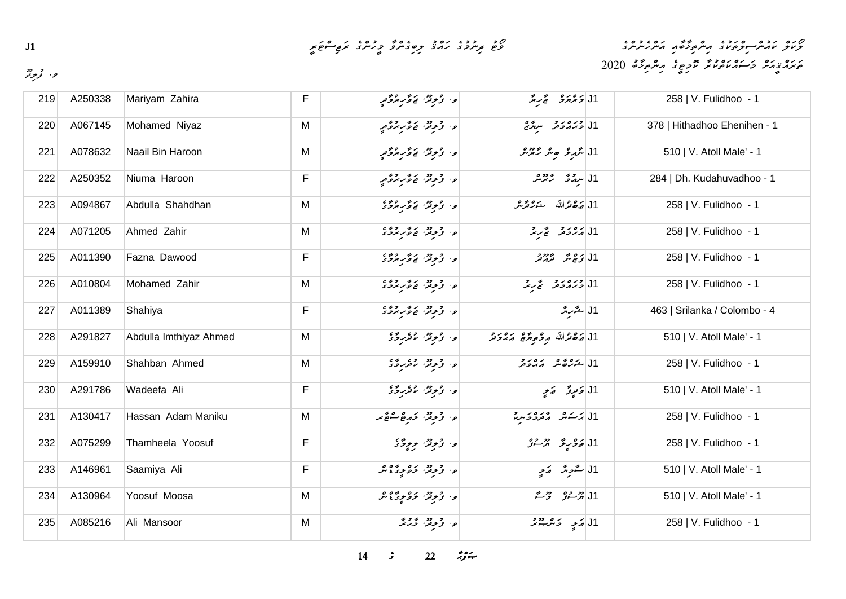*sCw7q7s5w7m< o<n9nOoAw7o< sCq;mAwBoEw7q<m; wBm;vB* م من المرة المرة المرة المرجع المرجع في المركبة 2020<br>مجم*د المريض المربوط المربع المرجع في المراجع المركبة* 

| 219 | A250338 | Mariyam Zahira         | $\mathsf{F}$ | و· وُوِيْرُ نَے وَرِ بَرْوَيْرِ          | J1 <i>حەمدى تج ب</i>                           | 258   V. Fulidhoo - 1        |
|-----|---------|------------------------|--------------|------------------------------------------|------------------------------------------------|------------------------------|
| 220 | A067145 | Mohamed Niyaz          | M            | ه . وَوِقْرُ كَاكَابِ بَرْكَامٍ          | J1 <i>ۋېرو دۇ</i> س <i>ېرى</i>                 | 378   Hithadhoo Ehenihen - 1 |
| 221 | A078632 | Naail Bin Haroon       | M            | ه . وقوقر ، فأقربتموهي                   | J1 متَدِعْرِ صِنْرَ سَ <sup>عِيد</sup> ِهِ     | 510   V. Atoll Male' - 1     |
| 222 | A250352 | Niuma Haroon           | F            | ه . وقوقر ، فأقربتموهي                   | J1 سم <i>م</i> ع محمد محمد الله                | 284   Dh. Kudahuvadhoo - 1   |
| 223 | A094867 | Abdulla Shahdhan       | M            |                                          | J1 مَەھْتَراللە خەرقەتتىر                      | 258   V. Fulidhoo - 1        |
| 224 | A071205 | Ahmed Zahir            | M            | و· وقوم نے وزیرون                        | J1 <i>مَدْدْ دَوْ</i> مِحْ سِمْر               | 258   V. Fulidhoo - 1        |
| 225 | A011390 | Fazna Dawood           | F            | و· وُفْرُسٌ فَالْقُرْبِرُوْدَ            | J1 ئۈچ ئىر ئەدەب <sub>ر</sub>                  | 258   V. Fulidhoo - 1        |
| 226 | A010804 | Mohamed Zahir          | M            | والمحموص فأقربهم                         | J1 <i>دېم</i> ده ځريز                          | 258   V. Fulidhoo - 1        |
| 227 | A011389 | Shahiya                | F            | د . و وو .<br>  د . و وفر . و څو د برو د | J1 شەرى <i>گە</i>                              | 463   Srilanka / Colombo - 4 |
| 228 | A291827 | Abdulla Imthiyaz Ahmed | M            | ه . و دو . وی . وی                       | 11 رَصْحْرَاللَّهُ مِرْحَمِّ مَنْ مَدَّدَمَّدَ | 510   V. Atoll Male' - 1     |
| 229 | A159910 | Shahban Ahmed          | M            | ه وود ده در ده                           | J1 خەرگەش مەردىر                               | 258   V. Fulidhoo - 1        |
| 230 | A291786 | Wadeefa Ali            | E            | ه وتوند ده دنج                           | 1ل  <i>وَمِرِوَّ_ مَ</i> حٍ                    | 510   V. Atoll Male' - 1     |
| 231 | A130417 | Hassan Adam Maniku     | M            | والمحروش كرماه والمقامر                  | J1 ئەسەش مە <i>ترۈ ئەس</i> ە                   | 258   V. Fulidhoo - 1        |
| 232 | A075299 | Thamheela Yoosuf       | $\mathsf{F}$ | ه ژونژ ووژی                              | J1 <sub>ھۇس</sub> ىر تەرىبۇ                    | 258   V. Fulidhoo - 1        |
| 233 | A146961 | Saamiya Ali            | F            | ه . وُمِنْ مَوْمِوَّ ، شَ                | J1 ڪ <sub>ُ</sub> وِيرَ <sub>صَ</sub> حِ       | 510   V. Atoll Male' - 1     |
| 234 | A130964 | Yoosuf Moosa           | M            | ه . وُمِنْ مَوْمِوَءُ لَمْ لَهُ الله     | J1 پر قسم و میشه میشد.                         | 510   V. Atoll Male' - 1     |
| 235 | A085216 | Ali Mansoor            | M            | ه وتونژا ورنژ                            | J1 <i>ڇَجِ چَسْبَ</i> يْرَ                     | 258   V. Fulidhoo - 1        |

 $14$  *s*  $22$   $23$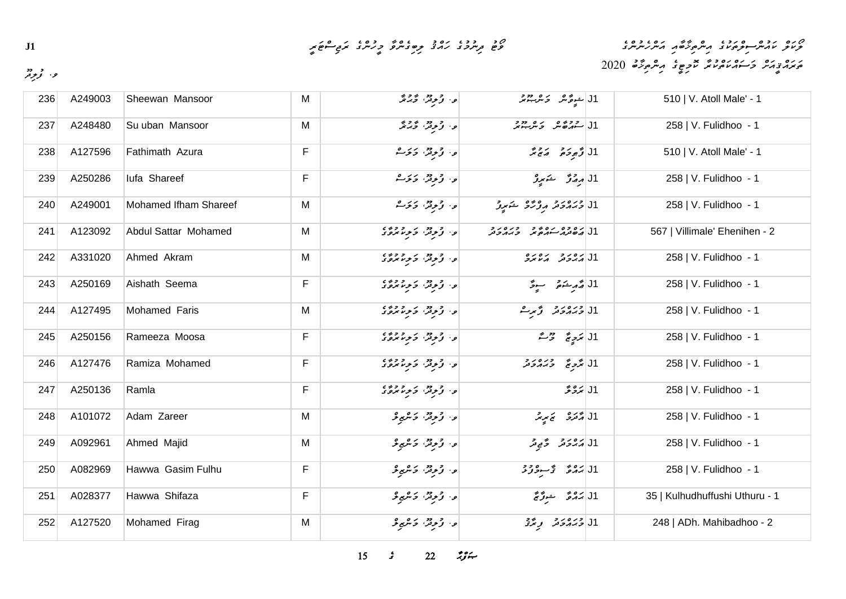*sCw7q7s5w7m< o<n9nOoAw7o< sCq;mAwBoEw7q<m; wBm;vB* م من المرة المرة المرة المرجع المرجع في المركبة 2020<br>مجم*د المريض المربوط المربع المرجع في المراجع المركبة* 

| 236 | A249003 | Sheewan Mansoor       | M           | ا و و وقراء و ديگر            | J1 خوصٌ مَرْسِعْ دَمَّرَ عَلَيْ مِنْ | 510   V. Atoll Male' - 1       |
|-----|---------|-----------------------|-------------|-------------------------------|--------------------------------------|--------------------------------|
| 237 | A248480 | Su uban Mansoor       | M           | ه وُمِنْ دُرُمْ               | 11 كەرگەش كەش <i>رى</i> دىر          | 258   V. Fulidhoo - 1          |
| 238 | A127596 | Fathimath Azura       | F           | ە . ۇرۇش كەكەش                | J1 <i>وڻهوخو ه</i> ُ پڻ              | 510   V. Atoll Male' - 1       |
| 239 | A250286 | lufa Shareef          | $\mathsf F$ | <sub>و: تو</sub> ثوثر، دَنوَے | 1ل <i>مەمۇشىغىنى</i> ۋ               | 258   V. Fulidhoo - 1          |
| 240 | A249001 | Mohamed Ifham Shareef | M           | د . وګويژ، ځځرگ               | 11 <i>وبرەرو مورد</i> ۇ خ <i>ىرو</i> | 258   V. Fulidhoo - 1          |
| 241 | A123092 | Abdul Sattar Mohamed  | M           | ه . و وده ځومترونو            | 11 <i>مقوم موموم</i> وبرورد          | 567   Villimale' Ehenihen - 2  |
| 242 | A331020 | Ahmed Akram           | M           | ه و وه به در دور              | J1 <i>ה</i> הכנה הטיקפ               | 258   V. Fulidhoo - 1          |
| 243 | A250169 | Aishath Seema         | F           | و· وفوقرا وتجاه برود          | 11 مەم شىم سىرى <sup>3</sup>         | 258   V. Fulidhoo - 1          |
| 244 | A127495 | Mohamed Faris         | M           | و· وفوقرا وتجاه برود          | J1 <i>ۋېزودنو ۋېر</i>                | 258   V. Fulidhoo - 1          |
| 245 | A250156 | Rameeza Moosa         | F           | ه و وه به در دور              | 11 <i>مَدَجِعٌ وَ"—ُ</i>             | 258   V. Fulidhoo - 1          |
| 246 | A127476 | Ramiza Mohamed        | F           | ه . وقوقر، وقرير مروى         | J1 بَرُدِيِّ دَبَرُ <i>دور</i>       | 258   V. Fulidhoo - 1          |
| 247 | A250136 | Ramla                 | $\mathsf F$ | ه . و وفر . د د بر د و د ،    | J1 بروڈ                              | 258   V. Fulidhoo - 1          |
| 248 | A101072 | Adam Zareer           | M           | ە . ۇوقۇ، كەشپى ئ             | J1 ۾ <i>قر</i> و تم <sub>مح</sub> مد | 258   V. Fulidhoo - 1          |
| 249 | A092961 | Ahmed Majid           | M           | ە . ۇوقۇ، كەشپى ئ             | J1 <i>مَدْوَمْہ وَّہِ م</i> ُ        | 258   V. Fulidhoo - 1          |
| 250 | A082969 | Hawwa Gasim Fulhu     | $\mathsf F$ | اء وتوفق وكريون               | J1 ئەرگە ئۇس <i>بوقۇ</i> ت           | 258   V. Fulidhoo - 1          |
| 251 | A028377 | Hawwa Shifaza         | F           | أوا وحجوش وكريم فحر           | 1ل  <i>بَرْدُهُ</i> شَعِرَّتَجُ      | 35   Kulhudhuffushi Uthuru - 1 |
| 252 | A127520 | Mohamed Firag         | M           | ە . ۇوش كەشپۇ                 | J1 <i>دې.د</i> ونر پ <i>رېز</i> تى   | 248   ADh. Mahibadhoo - 2      |

 $15$  *s*  $22$  *n***<sub>s</sub>** $\frac{2}{5}$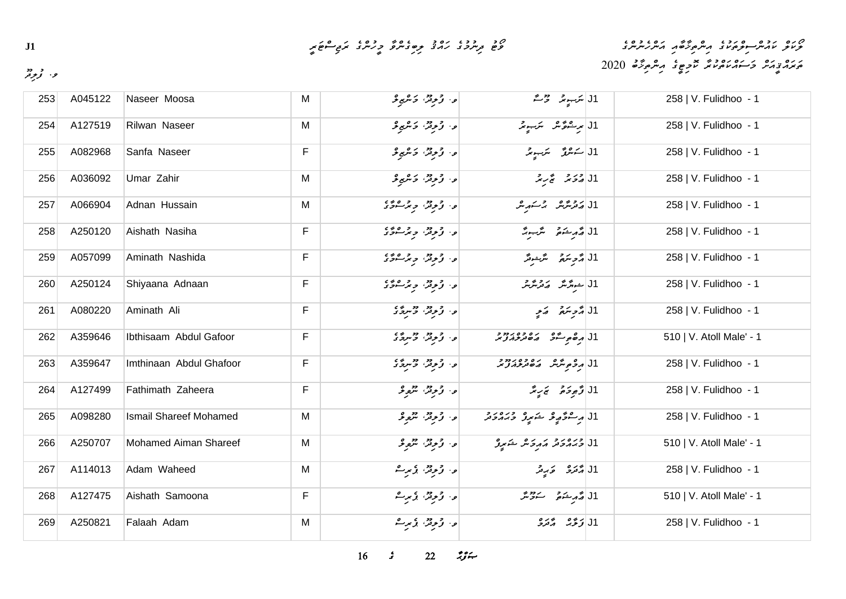*sCw7q7s5w7m< o<n9nOoAw7o< sCq;mAwBoEw7q<m; wBm;vB* م من المرة المرة المرة المرجع المرجع في المركبة 2020<br>مجم*د المريض المربوط المربع المرجع في المراجع المركبة* 

| 253 | A045122 | Naseer Moosa                  | M           | د و تونژ، ځندې تر                  | 1ل <sub>مک</sub> ر <sub>س</sub> ویمر وحرثے      | 258   V. Fulidhoo - 1    |
|-----|---------|-------------------------------|-------------|------------------------------------|-------------------------------------------------|--------------------------|
| 254 | A127519 | <b>Rilwan Naseer</b>          | M           | ه . و وِيْن دَسْءِ و               | 11 مرڪوڱنگر - س <i>رس</i> ومگر                  | 258   V. Fulidhoo - 1    |
| 255 | A082968 | Sanfa Naseer                  | F           | ه . و وِيْن دَسْءِ و               | J1 سەنتىرتى سىمبىيەتتىر                         | 258   V. Fulidhoo - 1    |
| 256 | A036092 | Umar Zahir                    | M           | ه . ژونژ، دَسْهِ دْ                | J1 <i>ھج بڑ تج ب</i>                            | 258   V. Fulidhoo - 1    |
| 257 | A066904 | Adnan Hussain                 | M           | و· وقوفر، وبرحوى                   | 11 <i>مەمەنگىرى جىسكىم</i> بىر                  | 258   V. Fulidhoo - 1    |
| 258 | A250120 | Aishath Nasiha                | F           | ه . و وقرا د برگرده و <del>.</del> | J1 مەم ئىكتە ئىشىنىڭە ئىشلارنىڭ بىر             | 258   V. Fulidhoo - 1    |
| 259 | A057099 | Aminath Nashida               | F           | ه وتوفر وبر دوء                    | J1 مَرْحِ سَرَمَ <sub>ةُ</sub> سَنَ مِشْبِعَثَر | 258   V. Fulidhoo - 1    |
| 260 | A250124 | Shiyaana Adnaan               | F           | و· وقوفر، وبرحوى                   | 1ل ھوتر <i>تر مقرنگريز</i>                      | 258   V. Fulidhoo - 1    |
| 261 | A080220 | Aminath Ali                   | F           | أوا وتحوفرا وحسرونمى               | 1ل  <i>مزَّدِ سَع</i> ْرَ مَرْمٍ                | 258   V. Fulidhoo - 1    |
| 262 | A359646 | Ibthisaam Abdul Gafoor        | $\mathsf F$ | ه وتوفر، وسروی                     | 11 رەم شى رە دەردد د                            | 510   V. Atoll Male' - 1 |
| 263 | A359647 | Imthinaan Abdul Ghafoor       | $\mathsf F$ | أوا وتحوقرا وحسروي                 | 11 م <i>ېڅمو شره د موه د ده د</i>               | 258   V. Fulidhoo - 1    |
| 264 | A127499 | Fathimath Zaheera             | F           | ه زوچر، ش <sub>عر</sub> و          | 1ل <i>وُّهوحَ</i> هُمَ تَحَرِيمٌ                | 258   V. Fulidhoo - 1    |
| 265 | A098280 | <b>Ismail Shareef Mohamed</b> | M           | اء و توفر، شموی                    | 11 مِــُوَّمِهِ وَ عَمَىٰ وَيَهُوَىٰ            | 258   V. Fulidhoo - 1    |
| 266 | A250707 | <b>Mohamed Aiman Shareef</b>  | M           | ه زوچر چ <sub>م</sub> و            | 11 <i>ديرورو بروتر خېږي</i>                     | 510   V. Atoll Male' - 1 |
| 267 | A114013 | Adam Waheed                   | M           | <sub>ی</sub> . وګویژ، بومړے        | 1ل  <i>مُ</i> تَرَدُّ ءَب <sub>َ</sub> تِرُ     | 258   V. Fulidhoo - 1    |
| 268 | A127475 | Aishath Samoona               | F           | أوا وكوفرا وتربرك                  | J1 مەم ئىشقى مەدىمەتكە                          | 510   V. Atoll Male' - 1 |
| 269 | A250821 | Falaah Adam                   | M           | ه . و څونژ، بر مرگ                 | J1 تونژچ گەند <i>ۇ</i>                          | 258   V. Fulidhoo - 1    |

 $16$  *s* 22  $29$   $-$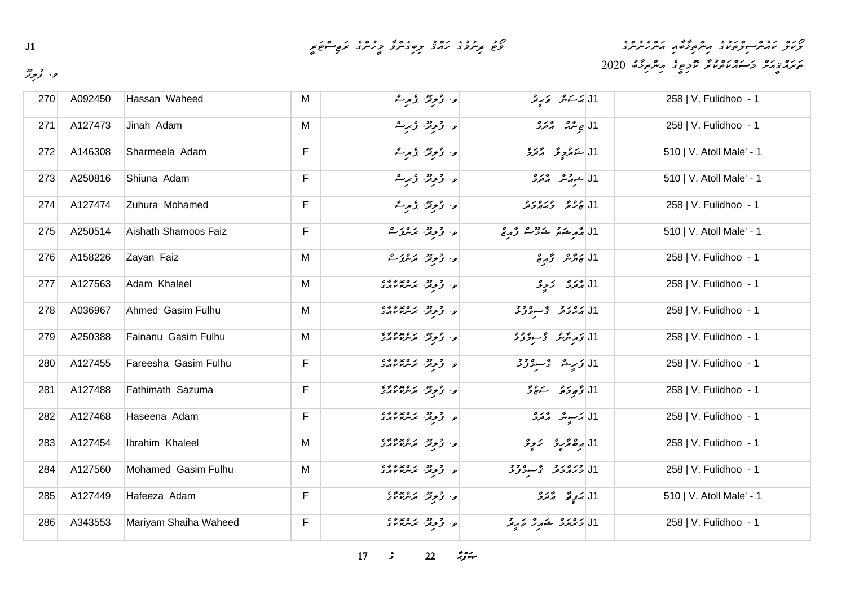*sCw7q7s5w7m< o<n9nOoAw7o< sCq;mAwBoEw7q<m; wBm;vB* م من المرة المرة المرة المرجع المرجع في المركبة 2020<br>مجم*د المريض المربوط المربع المرجع في المراجع المركبة* 

| 270 | A092450 | Hassan Waheed         | M           | ه . و ویژ، و برت                                                                                                                                                                                                                 | J1   يَرْسَسْ         وَرِيْرٌ                      | 258   V. Fulidhoo - 1    |
|-----|---------|-----------------------|-------------|----------------------------------------------------------------------------------------------------------------------------------------------------------------------------------------------------------------------------------|-----------------------------------------------------|--------------------------|
| 271 | A127473 | Jinah Adam            | M           | ه وتوفر ومرت                                                                                                                                                                                                                     | 11   <i>يې مگر°، گ<sup>ې</sup> تر</i> و             | 258   V. Fulidhoo - 1    |
| 272 | A146308 | Sharmeela Adam        | F           | ه وتوفر ومرث                                                                                                                                                                                                                     | J1 ڪَنگر <i>وِ ٿُر آگرد</i> و                       | 510   V. Atoll Male' - 1 |
| 273 | A250816 | Shiuna Adam           | F           | ه وتوفر ومرث                                                                                                                                                                                                                     | 1ل جوړش م <sup>ح</sup> رم                           | 510   V. Atoll Male' - 1 |
| 274 | A127474 | Zuhura Mohamed        | F           | ه و څونژ، و برگ                                                                                                                                                                                                                  | J1 يحريج محدود د                                    | 258   V. Fulidhoo - 1    |
| 275 | A250514 | Aishath Shamoos Faiz  | $\mathsf F$ | ە · ئۇمۇش ئەنگەر ھ                                                                                                                                                                                                               | 1ل مەم شىر مەدرىق ئ <i>ۇم</i> ج                     | 510   V. Atoll Male' - 1 |
| 276 | A158226 | Zayan Faiz            | M           | ە بۇ قرىق ئەش <i>ۇ</i> ش                                                                                                                                                                                                         | 1ل ئى <sub>قرىشى</sub> ئ <sub>ۇرمى</sub> ج          | 258   V. Fulidhoo - 1    |
| 277 | A127563 | Adam Khaleel          | M           | ه و دو ره ده ده د                                                                                                                                                                                                                | J1 ترتر <i>ی زوی</i>                                | 258   V. Fulidhoo - 1    |
| 278 | A036967 | Ahmed Gasim Fulhu     | M           | פי פיני ויס איני וייני וייני וייני וייני וייני וייני וייני וייני וייני וייני וייני וייני וייני וייני וייני ויי<br>פי פייני וייני וייני וייני וייני וייני וייני וייני וייני וייני וייני וייני וייני וייני וייני וייני וייני וייני | J1   ئەرىخەتىرى ئۆسى <i>رە دو</i> ر                 | 258   V. Fulidhoo - 1    |
| 279 | A250388 | Fainanu Gasim Fulhu   | M           | ه و دو ره ده ده.<br>د و دن                                                                                                                                                                                                       | 11 <i>ۆم مەڭدىن تۇسىۋۇ</i> تر                       | 258   V. Fulidhoo - 1    |
| 280 | A127455 | Fareesha Gasim Fulhu  | $\mathsf F$ | ه و دو ره ده ده د                                                                                                                                                                                                                | 1ل  <i>ۆپرىنڈ ئۇسوۋۇ</i> ر                          | 258   V. Fulidhoo - 1    |
| 281 | A127488 | Fathimath Sazuma      | F           | ه . و دو.<br>د . و دوش مرس سر سر                                                                                                                                                                                                 | J1 <i>وَّهِ دَهْ</i> سَنَّيْ                        | 258   V. Fulidhoo - 1    |
| 282 | A127468 | Haseena Adam          | $\mathsf F$ | ه و دو ره ده ده د                                                                                                                                                                                                                | J1 ئەسەمىر مەر <i>ە</i>                             | 258   V. Fulidhoo - 1    |
| 283 | A127454 | Ibrahim Khaleel       | M           | ه . و دو.<br>د . و دوش موسر ۱۸۷۷ و                                                                                                                                                                                               | J1 <sub>م</sub> ەمگەر ئىچى                          | 258   V. Fulidhoo - 1    |
| 284 | A127560 | Mohamed Gasim Fulhu   | M           | ه د وده ره برون                                                                                                                                                                                                                  | 11 <i>ۋېزو دو</i> تۇس <i>بۇ ۋ</i> ر                 | 258   V. Fulidhoo - 1    |
| 285 | A127449 | Hafeeza Adam          | $\mathsf F$ | ه د ود بره ده د                                                                                                                                                                                                                  | 1ل  <i>ټوپوچھ مگوری</i>                             | 510   V. Atoll Male' - 1 |
| 286 | A343553 | Mariyam Shaiha Waheed | F           | ه وجوده بره برده                                                                                                                                                                                                                 | J1 <i>كَ بُرْمَرْدُ ۖ شَهرتَ</i> ۖ <i>وَبِ</i> تِرْ | 258   V. Fulidhoo - 1    |

 $17$  *s*  $22$   $29$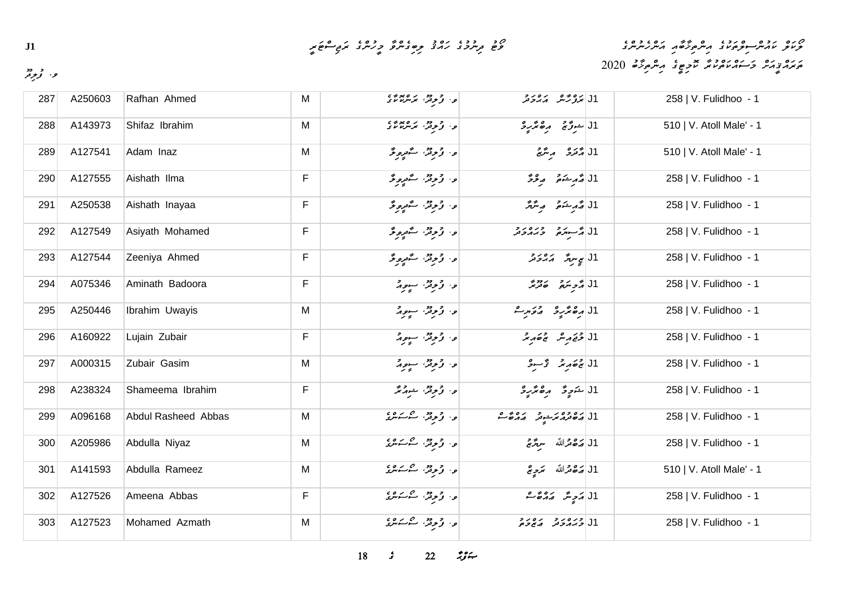*sCw7q7s5w7m< o<n9nOoAw7o< sCq;mAwBoEw7q<m; wBm;vB* م من المرة المرة المرة المرجع المرجع في المركبة 2020<br>مجم*د المريض المربوط المربع المرجع في المراجع المركبة* 

| 287 | A250603 | Rafhan Ahmed        | M           | ه وجود ره برده                  | J1 <i>ټرور پورې د</i> رو                  | 258   V. Fulidhoo - 1    |
|-----|---------|---------------------|-------------|---------------------------------|-------------------------------------------|--------------------------|
| 288 | A143973 | Shifaz Ibrahim      | M           | ه د ود بره ده ده                | J1 ڪو <i>ڙي دھترب</i> و                   | 510   V. Atoll Male' - 1 |
| 289 | A127541 | Adam Inaz           | M           | ه ژوئژ، شوره د                  | J1 مُرترد م <i>سَنَّ</i> ج                | 510   V. Atoll Male' - 1 |
| 290 | A127555 | Aishath Ilma        | F           | ه ژوئژ، شوره د                  | J1 مەم ھەر مەم ئەرگەنگە                   | 258   V. Fulidhoo - 1    |
| 291 | A250538 | Aishath Inayaa      | F           | ه ووص شعره د گر                 | J1 مەم شىقى مەمتى <i>گ</i>                | 258   V. Fulidhoo - 1    |
| 292 | A127549 | Asiyath Mohamed     | $\mathsf F$ | ه . وُمِيْنْ سُمْوِهِ وُّ       | J1 م <sup>ح</sup> سور محدود در در در در ا | 258   V. Fulidhoo - 1    |
| 293 | A127544 | Zeeniya Ahmed       | F           | ه ووده شوه د گر                 | J1 <sub>مج</sub> سِرَتُہ مَہْدَوَمَّر     | 258   V. Fulidhoo - 1    |
| 294 | A075346 | Aminath Badoora     | F           | ه ژوند سود                      | J1 أُمَّ صِنَعْ مَصْرَبَّمَّ              | 258   V. Fulidhoo - 1    |
| 295 | A250446 | Ibrahim Uwayis      | M           | ه وګونژ، سوړژ                   | J1 مەھم <i>گىي</i> ھەمرىشە                | 258   V. Fulidhoo - 1    |
| 296 | A160922 | Lujain Zubair       | F           | ه ژوئژ، سوړژ                    | 11 تحق <i>م م</i> شرح <i>قام</i> تر       | 258   V. Fulidhoo - 1    |
| 297 | A000315 | Zubair Gasim        | M           | ه ژوئژ، سوړژ                    | J1 ئ <i>ے غہر بڑ</i> ٹڑ سوڑ               | 258   V. Fulidhoo - 1    |
| 298 | A238324 | Shameema Ibrahim    | F           | ه و وقرقه جوړنگه                | J1 ڪوچ <i>مڻ گرد</i> و                    | 258   V. Fulidhoo - 1    |
| 299 | A096168 | Abdul Rasheed Abbas | M           | ە · زېږېز، ش <sub>ى</sub> ستىرى | 11 كەھەر كەنبەتر كەرگەت ب                 | 258   V. Fulidhoo - 1    |
| 300 | A205986 | Abdulla Niyaz       | M           |                                 | J1 كەھەراللە س <i>ىڭ ق</i>                | 258   V. Fulidhoo - 1    |
| 301 | A141593 | Abdulla Rameez      | M           | <sub>و</sub> . ژوپژ، گرماندی    | J1 كەھەراللە ئىر <i>وغ</i>                | 510   V. Atoll Male' - 1 |
| 302 | A127526 | Ameena Abbas        | F           | ە · زېږېز، سىمسىرى              | 11 <sub>م</sub> ُح <i>ِسٌ مُهُ</i> صُّ    | 258   V. Fulidhoo - 1    |
| 303 | A127523 | Mohamed Azmath      | M           | ه دوره کرده و                   | 11 <i>دبر د ده د و د</i>                  | 258   V. Fulidhoo - 1    |

 $18$  *s*  $22$  *n***<sub>s</sub>**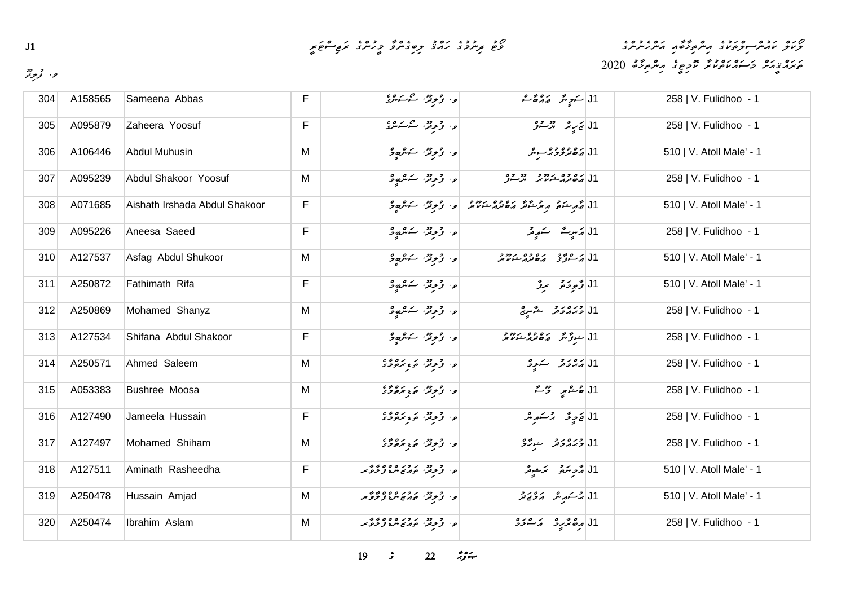*sCw7q7s5w7m< o<n9nOoAw7o< sCq;mAwBoEw7q<m; wBm;vB* م من المرة المرة المرة المرجع المرجع في المركبة 2020<br>مجم*د المريض المربوط المربع المرجع في المراجع المركبة* 

| 304 | A158565 | Sameena Abbas                 | $\mathsf F$  | ه . و دو. گرماند در ۱۳۵                    | J1 سَمَ <i>دِيدٌ مَهْدَهُ</i> مُ                                                                              | 258   V. Fulidhoo - 1    |
|-----|---------|-------------------------------|--------------|--------------------------------------------|---------------------------------------------------------------------------------------------------------------|--------------------------|
| 305 | A095879 | Zaheera Yoosuf                | $\mathsf F$  | ه . و دور مشکستگ                           | J1 ئىم پىتىش مې <del>ز د</del> و                                                                              | 258   V. Fulidhoo - 1    |
| 306 | A106446 | <b>Abdul Muhusin</b>          | M            | ه ووص سکره و                               | J1 <i>ھ. ھ. مرڅ چر جي</i> گر                                                                                  | 510   V. Atoll Male' - 1 |
| 307 | A095239 | Abdul Shakoor Yoosuf          | M            | د و وقرار سنگهود                           | 11 <i>ړه وه بردو و وه وه</i>                                                                                  | 258   V. Fulidhoo - 1    |
| 308 | A071685 | Aishath Irshada Abdul Shakoor | F            |                                            | 11 م من مع مسلم مع مده در دور در دور من مع مع در دور در من مع مع داران مع مع داران مع مع داران مع مع داران مع | 510   V. Atoll Male' - 1 |
| 309 | A095226 | Aneesa Saeed                  | $\mathsf F$  | ه دوم شهود                                 | J1 كەسىرىگە كەھ <sub>و</sub> تىر                                                                              | 258   V. Fulidhoo - 1    |
| 310 | A127537 | Asfag Abdul Shukoor           | M            | ه ووم شهود                                 | 1) كەسىرى مەھەر مەدەر                                                                                         | 510   V. Atoll Male' - 1 |
| 311 | A250872 | Fathimath Rifa                | $\mathsf F$  | ه ووص سکره و                               | 1ل <i>وَّج</i> وحَمَّ سِرَّ                                                                                   | 510   V. Atoll Male' - 1 |
| 312 | A250869 | Mohamed Shanyz                | M            | ه ووص سکره و                               | J1 <i>ۋېزودۇ</i> ش <sup>ې</sup> رى                                                                            | 258   V. Fulidhoo - 1    |
| 313 | A127534 | Shifana Abdul Shakoor         | $\mathsf{F}$ | ه دوم شهره و                               | 1) خورځ شمېر موجود د دور د او د د د د ا                                                                       | 258   V. Fulidhoo - 1    |
| 314 | A250571 | Ahmed Saleem                  | M            |                                            | J1 <i>ړېری کې دی</i>                                                                                          | 258   V. Fulidhoo - 1    |
| 315 | A053383 | Bushree Moosa                 | M            | و· وفوقرٌ، ئوءِ بمورود                     | 1ل صحيح محرث <del>ة</del>                                                                                     | 258   V. Fulidhoo - 1    |
| 316 | A127490 | Jameela Hussain               | F            | والمحرفة كالمجوجود                         | J1 <sub>ق</sub> ے <sub>جو</sub> گر گرے ہر س                                                                   | 258   V. Fulidhoo - 1    |
| 317 | A127497 | Mohamed Shiham                | M            |                                            | J1 <i>دېزه دو</i> شو <i>گ</i> ۇ                                                                               | 258   V. Fulidhoo - 1    |
| 318 | A127511 | Aminath Rasheedha             | $\mathsf F$  | ه د ور دوره ده ده در م                     | J1 مُرْحِسَة مَنْ مَرْشَوْمُرٌ                                                                                | 510   V. Atoll Male' - 1 |
| 319 | A250478 | Hussain Amjad                 | M            |                                            | J1 پر <i>شمېر مروف</i> ونتر                                                                                   | 510   V. Atoll Male' - 1 |
| 320 | A250474 | Ibrahim Aslam                 | M            | ه د ورو روره وه ورو.<br>د ژبوش وري سازنوند | J1 مەھم <i>گىي</i> ى مەش <i>ۇۋ</i>                                                                            | 258   V. Fulidhoo - 1    |

 $19$  *s*  $22$  *n***<sub>s</sub>**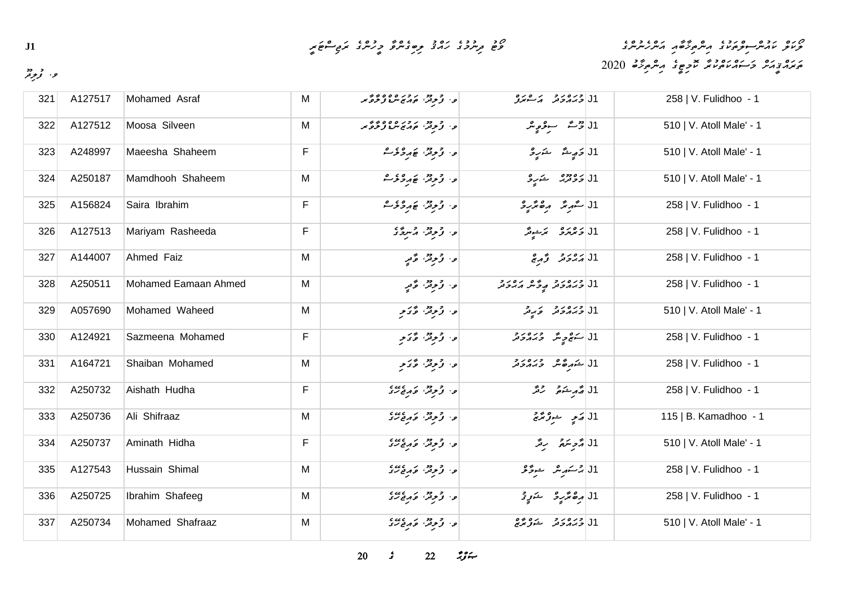*sCw7q7s5w7m< o<n9nOoAw7o< sCq;mAwBoEw7q<m; wBm;vB* م من المرة المرة المرة المرجع المرجع في المركبة 2020<br>مجم*د المريض المربوط المربع المرجع في المراجع المركبة* 

| 321 | A127517 | Mohamed Asraf        | M           | و و دو روره وه ووړ.<br>و ژبونه وه پاس ژبونو د        | J1 <i>دېمم</i> ونه کم شم <i>ون</i> ه               | 258   V. Fulidhoo - 1    |
|-----|---------|----------------------|-------------|------------------------------------------------------|----------------------------------------------------|--------------------------|
| 322 | A127512 | Moosa Silveen        | M           | و . و و . د وړه وه وو.<br>و . ووتر . وه م سو وترو مر | J1 تۇنئە سو <i>ئۇم</i> بىر                         | 510   V. Atoll Male' - 1 |
| 323 | A248997 | Maeesha Shaheem      | F           | ه و وجه عدود ک                                       | J1 <i>دَوِ</i> يشَ شَرِيْرَ                        | 510   V. Atoll Male' - 1 |
| 324 | A250187 | Mamdhooh Shaheem     | M           | ه وتوفر، عدووت                                       | J1 دەمەر شەرى                                      | 510   V. Atoll Male' - 1 |
| 325 | A156824 | Saira Ibrahim        | $\mathsf F$ | ه وتوفر، عدود ع                                      | J1 شەپرىگە مەھ <i>مگەي</i> ىۋ                      | 258   V. Fulidhoo - 1    |
| 326 | A127513 | Mariyam Rasheeda     | F           | ه وقرقرا مسرد و                                      | J1  <i>د چم</i> رو - <sub>مَرْشومَّر</sub>         | 258   V. Fulidhoo - 1    |
| 327 | A144007 | Ahmed Faiz           | M           | ه . وُمُوتِشْ هُمْرٍ                                 | J1 <i>مَدْدَوْرٌ وَّم</i> ُ مَ                     | 258   V. Fulidhoo - 1    |
| 328 | A250511 | Mohamed Eamaan Ahmed | M           | ه . وُمِعْرٌ، حَمْدٍ                                 | 11 <i>دې م</i> رو په <i>ډې م</i> رو تر             | 258   V. Fulidhoo - 1    |
| 329 | A057690 | Mohamed Waheed       | M           | ه . وُمِيْنٌ مُحَمَّدٍ                               | J1 <i>ۇنەۋەتى ق ب</i> وت <sub>ى</sub>              | 510   V. Atoll Male' - 1 |
| 330 | A124921 | Sazmeena Mohamed     | $\mathsf F$ | ه . وُمُومْرٌ، عُمَدُمْ.                             | J1 س <i>نوم ويدودو</i> ر                           | 258   V. Fulidhoo - 1    |
| 331 | A164721 | Shaiban Mohamed      | M           | ه . وقوش عُمَوَمِ                                    | 11 خەرق ھەمدە بول                                  | 258   V. Fulidhoo - 1    |
| 332 | A250732 | Aishath Hudha        | F           | و· وتحويل عمره عصر                                   | J1 مەم شەم ئىقر                                    | 258   V. Fulidhoo - 1    |
| 333 | A250736 | Ali Shifraaz         | M           |                                                      | 1ل  ر <sub>َم</sub> حٍ ہو تُرمَّ ج                 | 115   B. Kamadhoo - 1    |
| 334 | A250737 | Aminath Hidha        | F           |                                                      | 11 م <i>مَّ</i> حِ سَعَ <i>ة</i> بِقَّہ            | 510   V. Atoll Male' - 1 |
| 335 | A127543 | Hussain Shimal       | M           | ه . و ود .<br>ه . و وتر . و د و ر .                  | J1 ئەسەر شە <i>ھ</i> ۇ                             | 258   V. Fulidhoo - 1    |
| 336 | A250725 | Ibrahim Shafeeg      | M           | ه . و دو.<br>ه . و و تر . و د و ر .                  | J1 <sub>م</sub> ەمگرى <sub>د</sub> ۇ ش <i>وپ</i> ۇ | 258   V. Fulidhoo - 1    |
| 337 | A250734 | Mohamed Shafraaz     | M           | ه . و وه . و و و و و .                               | 11 <i>ډېره د د</i> شوربر <sub>دی</sub>             | 510   V. Atoll Male' - 1 |

 $20$  *s*  $22$  *n***<sub>s</sub>** $\frac{2}{5}$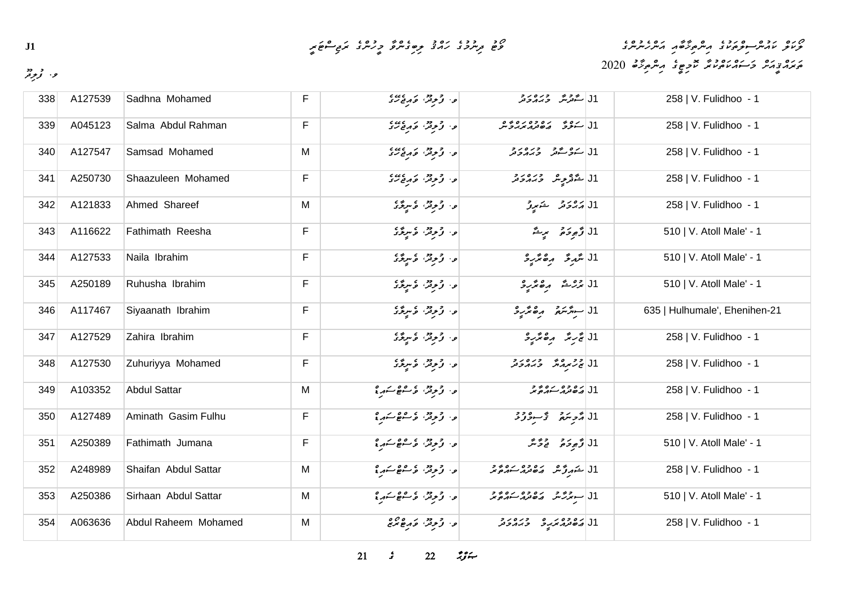*sCw7q7s5w7m< o<n9nOoAw7o< sCq;mAwBoEw7q<m; wBm;vB* م من المرة المرة المرة المرجع المرجع في المركبة 2020<br>مجم*د المريض المربوط المربع المرجع في المراجع المركبة* 

| 338 | A127539 | Sadhna Mohamed       | $\mathsf{F}$ | ه ژوپژ ءَ دور                                                                                        | J1 گەنرىتر ب <i>ەرەرە</i>                                                                           | 258   V. Fulidhoo - 1         |
|-----|---------|----------------------|--------------|------------------------------------------------------------------------------------------------------|-----------------------------------------------------------------------------------------------------|-------------------------------|
| 339 | A045123 | Salma Abdul Rahman   | F            | ه . و ود .<br>ه . و وتر . و د و ر .                                                                  | J1 كورى ئەھەرمەر ئار                                                                                | 258   V. Fulidhoo - 1         |
| 340 | A127547 | Samsad Mohamed       | M            | د . و وده<br>  د . و وتر، غ د و ر                                                                    | 11 كور <i>بوده در در د</i>                                                                          | 258   V. Fulidhoo - 1         |
| 341 | A250730 | Shaazuleen Mohamed   | $\mathsf F$  | ه . و دو.<br>ه . و د تر . و د ق ر د                                                                  | J1 ڪئر <i>وين ڊبرور</i> و                                                                           | 258   V. Fulidhoo - 1         |
| 342 | A121833 | Ahmed Shareef        | M            | ه . وُمِرْشَ هُ سِرْدًى                                                                              | J1 <i>ەردۇر خىرۇ</i>                                                                                | 258   V. Fulidhoo - 1         |
| 343 | A116622 | Fathimath Reesha     | $\mathsf F$  | و· وُوِيْرُ، وَسِرْدُوْ                                                                              | 1ل <i>وُّهِ وَهُ</i> مِيسٌمُ                                                                        | 510   V. Atoll Male' - 1      |
| 344 | A127533 | Naila Ibrahim        | $\mathsf F$  | ه وتوفر، وسروٌوُ                                                                                     | J1 سَمَدِ مَنْ مَصَمَّرِ فِي الْمَسَمَّةِ مِنْ الْمَسَمَّةِ مِنْ مِنْ الْمُسَمَّةِ مِنْ مِنْ مِنْ ا | 510   V. Atoll Male' - 1      |
| 345 | A250189 | Ruhusha Ibrahim      | $\mathsf{F}$ | و· وُفِرْشُ وَسِرْوَى                                                                                | J1 بررْجُ م <i>ەھترى</i> رۇ                                                                         | 510   V. Atoll Male' - 1      |
| 346 | A117467 | Siyaanath Ibrahim    | F            | و· وُفِرْشُ وَسِرْدَى                                                                                | J1 سو <i>مرىتى مەھەتب</i> و                                                                         | 635   Hulhumale', Ehenihen-21 |
| 347 | A127529 | Zahira Ibrahim       | $\mathsf{F}$ | و· وُفِرْشُ وَسِرْدَى                                                                                | J1 ئ <sub>ى</sub> بەشقە مەھە <i>تگەي</i> ىۋ                                                         | 258   V. Fulidhoo - 1         |
| 348 | A127530 | Zuhuriyya Mohamed    | F            | و· وُمِرْشُ وَسِرْدًى                                                                                | J1 <i>پي جمهور و ده و د</i> و                                                                       | 258   V. Fulidhoo - 1         |
| 349 | A103352 | <b>Abdul Sattar</b>  | M            | ه . وحوقر، وكسف المرد و                                                                              | J1 ەھەر مەھ بىر                                                                                     | 258   V. Fulidhoo - 1         |
| 350 | A127489 | Aminath Gasim Fulhu  | $\mathsf F$  | ه . وحوص الله عاصر عليه الله عليه الله عليه الله عليه الله عليه الله عليه الله عليه الله عليه الله ع | 1J مُرْمِسَهُ گَ مِوْرُكُمْ }                                                                       | 258   V. Fulidhoo - 1         |
| 351 | A250389 | Fathimath Jumana     | $\mathsf{F}$ | ه . وحوقر، وكسفا كروم و                                                                              | J1 <i>وُجِ دَو</i> مِوْسُر                                                                          | 510   V. Atoll Male' - 1      |
| 352 | A248989 | Shaifan Abdul Sattar | M            | ه . وحوقر، وكسفا سكر و                                                                               | 11 خوړوگس مەھ رەر دە بود                                                                            | 258   V. Fulidhoo - 1         |
| 353 | A250386 | Sirhaan Abdul Sattar | M            | ه . و ووز، و شوه شهر ؟                                                                               | 11 - دوم د مصره سهمور                                                                               | 510   V. Atoll Male' - 1      |
| 354 | A063636 | Abdul Raheem Mohamed | M            | ه و و ده ه ده می                                                                                     | 11 رەدەبر ۋرەرد                                                                                     | 258   V. Fulidhoo - 1         |

 $21$  *s*  $22$  *n***<sub>s</sub>**